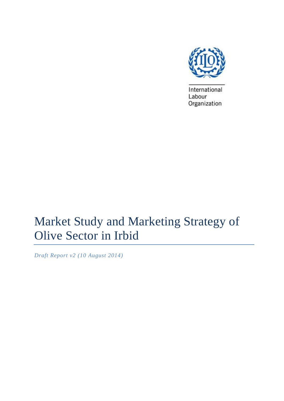

International Labour Organization

# Market Study and Marketing Strategy of Olive Sector in Irbid

*Draft Report v2 (10 August 2014)*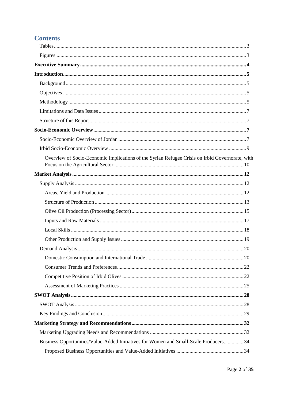# **Contents**

| Overview of Socio-Economic Implications of the Syrian Refugee Crisis on Irbid Governorate, with |  |
|-------------------------------------------------------------------------------------------------|--|
|                                                                                                 |  |
|                                                                                                 |  |
|                                                                                                 |  |
|                                                                                                 |  |
|                                                                                                 |  |
|                                                                                                 |  |
|                                                                                                 |  |
|                                                                                                 |  |
|                                                                                                 |  |
|                                                                                                 |  |
|                                                                                                 |  |
|                                                                                                 |  |
|                                                                                                 |  |
|                                                                                                 |  |
|                                                                                                 |  |
|                                                                                                 |  |
|                                                                                                 |  |
|                                                                                                 |  |
| Business Opportunities/Value-Added Initiatives for Women and Small-Scale Producers 34           |  |
|                                                                                                 |  |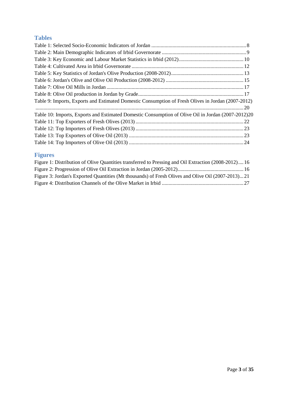# <span id="page-2-0"></span>**Tables**

| Table 9: Imports, Exports and Estimated Domestic Consumption of Fresh Olives in Jordan (2007-2012) |  |
|----------------------------------------------------------------------------------------------------|--|
|                                                                                                    |  |
| Table 10: Imports, Exports and Estimated Domestic Consumption of Olive Oil in Jordan (2007-2012)20 |  |
|                                                                                                    |  |
|                                                                                                    |  |
|                                                                                                    |  |
|                                                                                                    |  |
|                                                                                                    |  |

# <span id="page-2-1"></span>**Figures**

| Figure 1: Distribution of Olive Quantities transferred to Pressing and Oil Extraction (2008-2012) 16 |  |
|------------------------------------------------------------------------------------------------------|--|
|                                                                                                      |  |
| Figure 3: Jordan's Exported Quantities (Mt thousands) of Fresh Olives and Olive Oil (2007-2013)21    |  |
|                                                                                                      |  |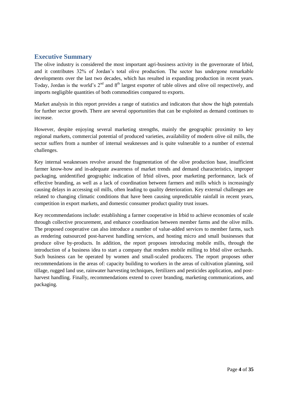### <span id="page-3-0"></span>**Executive Summary**

The olive industry is considered the most important agri-business activity in the governorate of Irbid, and it contributes 32% of Jordan's total olive production. The sector has undergone remarkable developments over the last two decades, which has resulted in expanding production in recent years. Today, Jordan is the world's 2nd and 8th largest exporter of table olives and olive oil respectively, and imports negligible quantities of both commodities compared to exports.

Market analysis in this report provides a range of statistics and indicators that show the high potentials for further sector growth. There are several opportunities that can be exploited as demand continues to increase.

However, despite enjoying several marketing strengths, mainly the geographic proximity to key regional markets, commercial potential of produced varieties, availability of modern olive oil mills, the sector suffers from a number of internal weaknesses and is quite vulnerable to a number of external challenges.

Key internal weaknesses revolve around the fragmentation of the olive production base, insufficient farmer know-how and in-adequate awareness of market trends and demand characteristics, improper packaging, unidentified geographic indication of Irbid olives, poor marketing performance, lack of effective branding, as well as a lack of coordination between farmers and mills which is increasingly causing delays in accessing oil mills, often leading to quality deterioration. Key external challenges are related to changing climatic conditions that have been causing unpredictable rainfall in recent years, competition in export markets, and domestic consumer product quality trust issues.

Key recommendations include: establishing a farmer cooperative in Irbid to achieve economies of scale through collective procurement, and enhance coordination between member farms and the olive mills. The proposed cooperative can also introduce a number of value-added services to member farms, such as rendering outsourced post-harvest handling services, and hosting micro and small businesses that produce olive by-products. In addition, the report proposes introducing mobile mills, through the introduction of a business idea to start a company that renders mobile milling to Irbid olive orchards. Such business can be operated by women and small-scaled producers. The report proposes other recommendations in the areas of: capacity building to workers in the areas of cultivation planning, soil tillage, rugged land use, rainwater harvesting techniques, fertilizers and pesticides application, and postharvest handling. Finally, recommendations extend to cover branding, marketing communications, and packaging.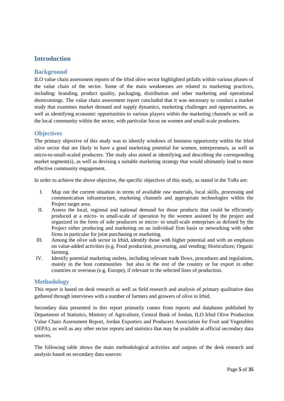# <span id="page-4-0"></span>**Introduction**

### <span id="page-4-1"></span>**Background**

ILO value chain assessment reports of the Irbid olive sector highlighted pitfalls within various phases of the value chain of the sector. Some of the main weaknesses are related to marketing practices, including: branding, product quality, packaging, distribution and other marketing and operational shortcomings. The value chain assessment report concluded that it was necessary to conduct a market study that examines market demand and supply dynamics, marketing challenges and opportunities, as well as identifying economic opportunities to various players within the marketing channels as well as the local community within the sector, with particular focus on women and small-scale producers.

#### <span id="page-4-2"></span>**Objectives**

The primary objective of this study was to identify windows of business opportunity within the Irbid olive sector that are likely to have a good marketing potential for women, entrepreneurs, as well as micro-to-small-scaled producers. The study also aimed at identifying and describing the corresponding market segment(s), as well as devising a suitable marketing strategy that would ultimately lead to more effective community engagement.

In order to achieve the above objective, the specific objectives of this study, as stated in the ToRs are:

- I. Map out the current situation in terms of available raw materials, local skills, processing and communication infrastructure, marketing channels and appropriate technologies within the Project target area.
- II. Assess the local, regional and national demand for those products that could be efficiently produced at a micro- to small-scale of operation by the women assisted by the project and organized in the form of sole producers or micro- to small-scale enterprises as defined by the Project either producing and marketing on an individual firm basis or networking with other firms in particular for joint purchasing or marketing.
- III. Among the olive sub sector in Irbid, identify those with higher potential and with an emphasis on value-added activities (e.g. Food production, processing, and vending; Horticulture; Organic farming.
- IV. Identify potential marketing outlets, including relevant trade flows, procedures and regulations, mainly in the host communities but also in the rest of the country or for export in other countries or overseas (e.g. Europe), if relevant to the selected lines of production.

#### <span id="page-4-3"></span>**Methodology**

This report is based on desk research as well as field research and analysis of primary qualitative data gathered through interviews with a number of farmers and growers of olive in Irbid.

Secondary data presented in this report primarily comes from reports and databases published by Department of Statistics, Ministry of Agriculture, Central Bank of Jordan, ILO Irbid Olive Production Value Chain Assessment Report, Jordan Exporters and Producers Association for Fruit and Vegetables (JEPA), as well as any other sector reports and statistics that may be available at official secondary data sources.

The following table shows the main methodological activities and outputs of the desk research and analysis based on secondary data sources: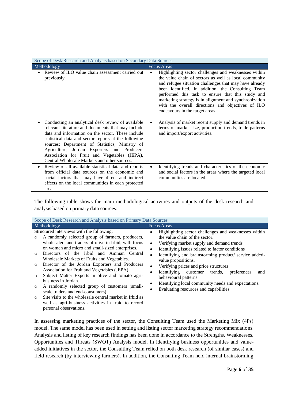| Scope of Desk Research and Analysis based on Secondary Data Sources                                                                                                                                                                                                                                                                                                                                                                |                                                                                                                                                                                                                                                                                                                                                                                                                                     |  |  |  |
|------------------------------------------------------------------------------------------------------------------------------------------------------------------------------------------------------------------------------------------------------------------------------------------------------------------------------------------------------------------------------------------------------------------------------------|-------------------------------------------------------------------------------------------------------------------------------------------------------------------------------------------------------------------------------------------------------------------------------------------------------------------------------------------------------------------------------------------------------------------------------------|--|--|--|
| Methodology                                                                                                                                                                                                                                                                                                                                                                                                                        | <b>Focus Areas</b>                                                                                                                                                                                                                                                                                                                                                                                                                  |  |  |  |
| Review of ILO value chain assessment carried out<br>previously                                                                                                                                                                                                                                                                                                                                                                     | Highlighting sector challenges and weaknesses within<br>the value chain of sectors as well as local community<br>and refugee situation challenges that may have already<br>been identified. In addition, the Consulting Team<br>performed this task to ensure that this study and<br>marketing strategy is in alignment and synchronization<br>with the overall directions and objectives of ILO<br>endeavours in the target areas. |  |  |  |
| Conducting an analytical desk review of available<br>$\bullet$<br>relevant literature and documents that may include<br>data and information on the sector. These include<br>statistical data and sector reports at the following<br>sources: Department of Statistics, Ministry of<br>Agriculture, Jordan Exporters and Producers<br>Association for Fruit and Vegetables (JEPA),<br>Central Wholesale Markets and other sources. | Analysis of market recent supply and demand trends in<br>terms of market size, production trends, trade patterns<br>and import/export activities.                                                                                                                                                                                                                                                                                   |  |  |  |
| Review of all available statistical data and reports<br>from official data sources on the economic and<br>social factors that may have direct and indirect<br>effects on the local communities in each protected<br>area.                                                                                                                                                                                                          | Identifying trends and characteristics of the economic<br>and social factors in the areas where the targeted local<br>communities are located.                                                                                                                                                                                                                                                                                      |  |  |  |

The following table shows the main methodological activities and outputs of the desk research and analysis based on primary data sources:

| Scope of Desk Research and Analysis based on Primary Data Sources                                                                                                                                                                                                                                                                                                                                                                                                                                                                                                                                                                                                                                                                                                            |                                                                                                                                                                                                                                                                                                                                                                                                                                                                                                                                  |  |  |  |  |
|------------------------------------------------------------------------------------------------------------------------------------------------------------------------------------------------------------------------------------------------------------------------------------------------------------------------------------------------------------------------------------------------------------------------------------------------------------------------------------------------------------------------------------------------------------------------------------------------------------------------------------------------------------------------------------------------------------------------------------------------------------------------------|----------------------------------------------------------------------------------------------------------------------------------------------------------------------------------------------------------------------------------------------------------------------------------------------------------------------------------------------------------------------------------------------------------------------------------------------------------------------------------------------------------------------------------|--|--|--|--|
| Methodology                                                                                                                                                                                                                                                                                                                                                                                                                                                                                                                                                                                                                                                                                                                                                                  | <b>Focus Areas</b>                                                                                                                                                                                                                                                                                                                                                                                                                                                                                                               |  |  |  |  |
| Structured interviews with the following:<br>A randomly selected group of farmers, producers,<br>wholesalers and traders of olive in Irbid, with focus<br>on women and micro and small-sized enterprises.<br>Directors of the Irbid and Amman Central<br>$\bigcirc$<br>Wholesale Markets of Fruits and Vegetables.<br>Director of the Jordan Exporters and Producers<br>$\circ$<br>Association for Fruit and Vegetables (JEPA)<br>Subject Matter Experts in olive and tomato agri-<br>$\circ$<br>business in Jordan.<br>A randomly selected group of customers (small-<br>$\circ$<br>scale traders and end-consumers)<br>Site visits to the wholesale central market in Irbid as<br>$\circ$<br>well as agri-business activities in Irbid to record<br>personal observations. | Highlighting sector challenges and weaknesses within<br>٠<br>the value chain of the sector.<br>Verifying market supply and demand trends<br>$\bullet$<br>Identifying issues related to factor conditions<br>Identifying and brainstorming product/service added-<br>value propositions.<br>Verifying prices and price structures<br>Identifying customer trends,<br>preferences<br>and<br>$\bullet$<br>behavioural patterns<br>Identifying local community needs and expectations.<br>٠<br>Evaluating resources and capabilities |  |  |  |  |

In assessing marketing practices of the sector, the Consulting Team used the Marketing Mix (4Ps) model. The same model has been used in setting and listing sector marketing strategy recommendations. Analysis and listing of key research findings has been done in accordance to the Strengths, Weaknesses, Opportunities and Threats (SWOT) Analysis model. In identifying business opportunities and valueadded initiatives in the sector, the Consulting Team relied on both desk research (of similar cases) and field research (by interviewing farmers). In addition, the Consulting Team held internal brainstorming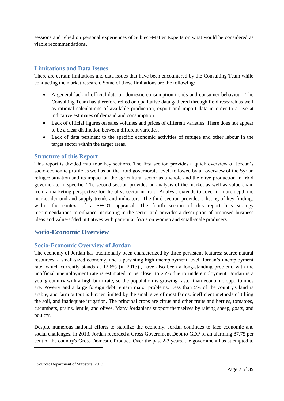sessions and relied on personal experiences of Subject-Matter Experts on what would be considered as viable recommendations.

### <span id="page-6-0"></span>**Limitations and Data Issues**

There are certain limitations and data issues that have been encountered by the Consulting Team while conducting the market research. Some of those limitations are the following:

- A general lack of official data on domestic consumption trends and consumer behaviour. The Consulting Team has therefore relied on qualitative data gathered through field research as well as rational calculations of available production, export and import data in order to arrive at indicative estimates of demand and consumption.
- Lack of official figures on sales volumes and prices of different varieties. There does not appear to be a clear distinction between different varieties.
- Lack of data pertinent to the specific economic activities of refugee and other labour in the target sector within the target areas.

#### <span id="page-6-1"></span>**Structure of this Report**

This report is divided into four key sections. The first section provides a quick overview of Jordan's socio-economic profile as well as on the Irbid governorate level, followed by an overview of the Syrian refugee situation and its impact on the agricultural sector as a whole and the olive production in Irbid governorate in specific. The second section provides an analysis of the market as well as value chain from a marketing perspective for the olive sector in Irbid. Analysis extends to cover in more depth the market demand and supply trends and indicators. The third section provides a listing of key findings within the context of a SWOT appraisal. The fourth section of this report lists strategy recommendations to enhance marketing in the sector and provides a description of proposed business ideas and value-added initiatives with particular focus on women and small-scale producers.

# <span id="page-6-2"></span>**Socio-Economic Overview**

#### <span id="page-6-3"></span>**Socio-Economic Overview of Jordan**

The economy of Jordan has traditionally been characterized by three persistent features: scarce natural resources, a small-sized economy, and a persisting high unemployment level. Jordan's unemployment rate, which currently stands at  $12.6\%$  (in  $2013$ )<sup>1</sup>, have also been a long-standing problem, with the unofficial unemployment rate is estimated to be closer to 25% due to underemployment. Jordan is a young country with a high birth rate, so the population is growing faster than economic opportunities are. Poverty and a large foreign debt remain major problems. Less than 5% of the country's land is arable, and farm output is further limited by the small size of most farms, inefficient methods of tilling the soil, and inadequate irrigation. The principal crops are citrus and other fruits and berries, tomatoes, cucumbers, grains, lentils, and olives. Many Jordanians support themselves by raising sheep, goats, and poultry.

Despite numerous national efforts to stabilize the economy, Jordan continues to face economic and social challenges. In 2013, Jordan recorded a Gross Government Debt to GDP of an alarming 87.75 per cent of the country's Gross Domestic Product. Over the past 2-3 years, the government has attempted to

<sup>&</sup>lt;sup>1</sup> Source: Department of Statistics, 2013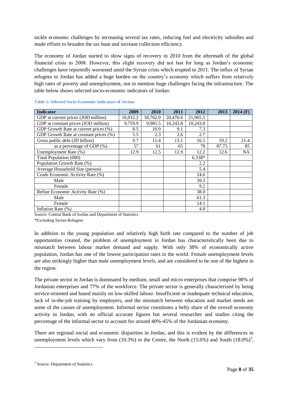tackle economic challenges by increasing several tax rates, reducing fuel and electricity subsidies and made efforts to broaden the tax base and increase collection efficiency.

The economy of Jordan started to show signs of recovery in 2010 from the aftermath of the global financial crisis in 2008. However, this slight recovery did not last for long as Jordan's economic challenges have reportedly worsened amid the Syrian crisis which erupted in 2011. The influx of Syrian refugees to Jordan has added a huge burden on the country's economy which suffers from relatively high rates of poverty and unemployment, not to mention huge challenges facing the infrastructure. The table below shows selected socio-economic indicators of Jordan:

| <b>Indicator</b>                       | 2009     | 2010     | 2011     | 2012     | 2013  | $2014$ (F) |
|----------------------------------------|----------|----------|----------|----------|-------|------------|
| GDP at current prices (JOD million)    | 16,912.2 | 18,762.0 | 20,476.6 | 21,965.5 |       |            |
| GDP at constant prices (JOD million)   | 9,759.9  | 9,985.5  | 10,243.8 | 10,243.8 |       |            |
| GDP Growth Rate at current prices (%)  | 8.5      | 10.9     | 9.1      | 7.3      |       |            |
| GDP Growth Rate at constant prices (%) | 5.5      | 2.3      | 2.6      | 2.7      |       |            |
| Gross public debt (JD billion)         | 9.7      | 11.4     | 13.1     | 16.5     | 19.2  | 21.4       |
| as a percentage of GDP (%)             | 57       | 61       | 65       | 78       | 87.75 | 85         |
| Unemployment Rate (%)                  | 12.9     | 12.5     | 12.9     | 12.2     | 12.6  | <b>NA</b>  |
| Total Population (000)                 |          |          |          | 6,338*   |       |            |
| Population Growth Rate (%)             |          |          |          | 2.2      |       |            |
| Average Household Size (person)        |          |          |          | 5.4      |       |            |
| Crude Economic Activity Rate (%)       |          |          |          | 24.6     |       |            |
| Male                                   |          |          |          | 39.3     |       |            |
| Female                                 |          |          |          | 9.2      |       |            |
| Refine Economic Activity Rate (%)      |          |          |          | 38.0     |       |            |
| Male                                   |          |          |          | 61.3     |       |            |
| Female                                 |          |          |          | 14.1     |       |            |
| Inflation Rate (%)                     |          |          |          | 4.8      |       |            |

#### <span id="page-7-0"></span>**Table 1: Selected Socio-Economic Indicators of Jordan**

Source: Central Bank of Jordan and Department of Statistics

\*Excluding Syrian Refugees

In addition to the young population and relatively high birth rate compared to the number of job opportunities created, the problem of unemployment in Jordan has characteristically been due to mismatch between labour market demand and supply. With only 38% of economically active population, Jordan has one of the lowest participation rates in the world. Female unemployment levels are also strikingly higher than male unemployment levels, and are considered to be one of the highest in the region.

The private sector in Jordan is dominated by medium, small and micro enterprises that comprise 98% of Jordanian enterprises and 77% of the workforce. The private sector is generally characterized by being service-oriented and based mainly on low-skilled labour. Insufficient or inadequate technical education, lack of in-the-job training by employers, and the mismatch between education and market needs are some of the causes of unemployment. Informal sector constitutes a hefty share of the overall economy activity in Jordan, with no official accurate figures but several researches and studies citing the percentage of the informal sector to account for around 40%-45% of the Jordanian economy.

There are regional social and economic disparities in Jordan, and this is evident by the differences in unemployment levels which vary from  $(10.3%)$  in the Centre, the North  $(15.6%)$  and South  $(18.0%)^2$ ,

<sup>&</sup>lt;sup>2</sup> Source: Department of Statistics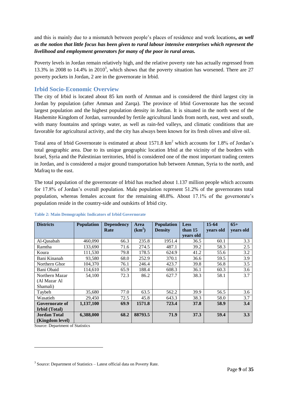and this is mainly due to a mismatch between people's places of residence and work locations*, as well as the notion that little focus has been given to rural labour intensive enterprises which represent the livelihood and employment generators for many of the poor in rural areas.*

Poverty levels in Jordan remain relatively high, and the relative poverty rate has actually regressed from 13.3% in 2008 to 14.4% in 2010<sup>3</sup>, which shows that the poverty situation has worsened. There are 27 poverty pockets in Jordan, 2 are in the governorate in Irbid.

### <span id="page-8-0"></span>**Irbid Socio-Economic Overview**

The city of Irbid is located about 85 km north of Amman and is considered the third largest city in Jordan by population (after Amman and Zarqa). The province of Irbid Governorate has the second largest population and the highest population density in Jordan. It is situated in the north west of the Hashemite Kingdom of Jordan, surrounded by fertile agricultural lands from north, east, west and south, with many fountains and springs water, as well as rain-fed valleys, and climatic conditions that are favorable for agricultural activity, and the city has always been known for its fresh olives and olive oil.

Total area of Irbid Governorate is estimated at about 1571.8 km<sup>2</sup> which accounts for 1.8% of Jordan's total geographic area. Due to its unique geographic location Irbid at the vicinity of the borders with Israel, Syria and the Palestinian territories, Irbid is considered one of the most important trading centers in Jordan, and is considered a major ground transportation hub between Amman, Syria to the north, and Mafraq to the east.

The total population of the governorate of Irbid has reached about 1.137 million people which accounts for 17.8% of Jordan's overall population. Male population represent 51.2% of the governorates total population, whereas females account for the remaining 48.8%. About 17.1% of the governorate's population reside in the country-side and outskirts of Irbid city.

| <b>Districts</b>      | <b>Population</b> | <b>Dependency</b><br>Rate | Area<br>$(km^2)$ | <b>Population</b><br><b>Density</b> | <b>Less</b><br>than 15 | $15 - 64$<br>years old | $65+$<br>years old |
|-----------------------|-------------------|---------------------------|------------------|-------------------------------------|------------------------|------------------------|--------------------|
|                       |                   |                           |                  |                                     | years old              |                        |                    |
| Al-Qasabah            | 460,090           | 66.3                      | 235.8            | 1951.4                              | 36.5                   | 60.1                   | 3.3                |
| Ramtha                | 133,690           | 71.6                      | 274.5            | 487.1                               | 39.2                   | 58.3                   | 2.5                |
| Koura                 | 111,530           | 79.8                      | 178.5            | 624.9                               | 41.2                   | 55.6                   | 3.2                |
| Bani Kinanah          | 93,580            | 68.0                      | 252.9            | 370.1                               | 36.6                   | 59.5                   | 3.9                |
| Northern Ghor         | 104,370           | 76.1                      | 246.4            | 423.7                               | 39.8                   | 56.8                   | 3.5                |
| Bani Obaid            | 114,610           | 65.9                      | 188.4            | 608.3                               | 36.1                   | 60.3                   | 3.6                |
| Northern Mazar        | 54,100            | 72.3                      | 86.2             | 627.7                               | 38.3                   | 58.1                   | 3.7                |
| (Al Mazar Al          |                   |                           |                  |                                     |                        |                        |                    |
| Shamali)              |                   |                           |                  |                                     |                        |                        |                    |
| Taybeh                | 35,680            | 77.0                      | 63.5             | 562.2                               | 39.9                   | 56.5                   | 3.6                |
| Wasatieh              | 29,450            | 72.5                      | 45.8             | 643.3                               | 38.3                   | 58.0                   | 3.7                |
| <b>Governorate of</b> | 1,137,100         | 69.9                      | 1571.8           | 723.4                               | 37.8                   | 58.9                   | 3.4                |
| Irbid (Total)         |                   |                           |                  |                                     |                        |                        |                    |
| <b>Jordan Total</b>   | 6,388,000         | 68.2                      | 88793.5          | 71.9                                | 37.3                   | 59.4                   | 3.3                |
| (Kingdom level)       |                   |                           |                  |                                     |                        |                        |                    |

#### <span id="page-8-1"></span>**Table 2: Main Demographic Indicators of Irbid Governorate**

Source: Department of Statistics

<sup>&</sup>lt;sup>3</sup> Source: Department of Statistics - Latest official data on Poverty Rate.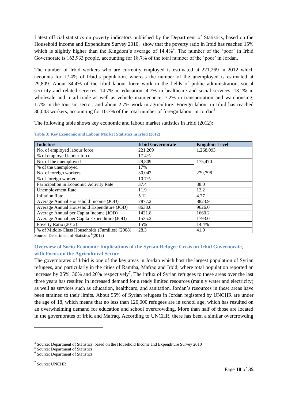Latest official statistics on poverty indicators published by the Department of Statistics, based on the Household Income and Expenditure Survey 2010, show that the poverty ratio in Irbid has reached 15% which is slightly higher than the Kingdom's average of 14.4%<sup>4</sup>. The number of the 'poor' in Irbid Governorate is 163,933 people, accounting for 18.7% of the total number of the 'poor' in Jordan.

The number of Irbid workers who are currently employed is estimated at 221,269 in 2012 which accounts for 17.4% of Irbid's population, whereas the number of the unemployed is estimated at 29,809. About 34.4% of the Irbid labour force work in the fields of public administration, social security and related services, 14.7% in education, 4.7% in healthcare and social services, 13.2% in wholesale and retail trade as well as vehicle maintenance, 7.2% in transportation and warehousing, 1.7% in the tourism sector, and about 2.7% work in agriculture. Foreign labour in Irbid has reached 30,043 workers, accounting for 10.7% of the total number of foreign labour in Jordan<sup>5</sup>.

The following table shows key economic and labour market statistics in Irbid (2012):

| <b>Indictors</b>                                                          | <b>Irbid Governorate</b> | <b>Kingdom-Level</b> |
|---------------------------------------------------------------------------|--------------------------|----------------------|
| No. of employed labour force                                              | 221,269                  | 1,268,093            |
| % of employed labour force                                                | 17.4%                    |                      |
| No. of the unemployed                                                     | 29,809                   | 175,470              |
| % of the unemployed                                                       | 17%                      |                      |
| No. of foreign workers                                                    | 30,043                   | 279,798              |
| % of foreign workers                                                      | 10.7%                    |                      |
| Participation in Economic Activity Rate                                   | 37.4                     | 38.0                 |
| <b>Unemployment Rate</b>                                                  | 11.9                     | 12.2                 |
| <b>Inflation Rate</b>                                                     | 5.12                     | 4.77                 |
| Average Annual Household Income (JOD)                                     | 7877.2                   | 8823.9               |
| Average Annual Household Expenditure (JOD)                                | 8638.6                   | 9626.0               |
| Average Annual per Capita Income (JOD)                                    | 1421.8                   | 1660.2               |
| Average Annual per Capita Expenditure (JOD)                               | 1535.2                   | 1793.0               |
| Poverty Ratio (2012)                                                      | 15%                      | 14.4%                |
| % of Middle-Class Households (Families) (2008)<br>منصوبكم المتحدث المتحدث | 28.3                     | 41.0                 |

<span id="page-9-1"></span>**Table 3: Key Economic and Labour Market Statistics in Irbid (2012)**

Source: Department of Statistics <sup>6</sup>(2012)

#### <span id="page-9-0"></span>**Overview of Socio-Economic Implications of the Syrian Refugee Crisis on Irbid Governorate, with Focus on the Agricultural Sector**

The governorates of Irbid is one of the key areas in Jordan which host the largest population of Syrian refugees, and particularly in the cities of Ramtha, Mafraq and Irbid, where total population reported an increase by 25%, 30% and 20% respectively<sup>7</sup>. The influx of Syrian refugees to these areas over the last three years has resulted in increased demand for already limited resources (mainly water and electricity) as well as services such as education, healthcare, and sanitation. Jordan's resources in these areas have been strained to their limits. About 55% of Syrian refugees in Jordan registered by UNCHR are under the age of 18, which means that no less than 120,000 refugees are in school age, which has resulted on an overwhelming demand for education and school overcrowding. More than half of those are located in the governorates of Irbid and Mafraq. According to UNCHR, there has been a similar overcrowding

1

<sup>&</sup>lt;sup>4</sup> Source: Department of Statistics, based on the Household Income and Expenditure Survey 2010

<sup>5</sup> Source: Department of Statistics

<sup>6</sup> Source: Department of Statistics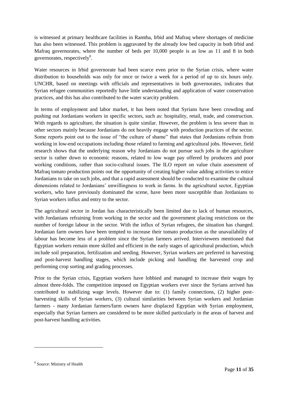is witnessed at primary healthcare facilities in Ramtha, Irbid and Mafraq where shortages of medicine has also been witnessed. This problem is aggravated by the already low bed capacity in both Irbid and Mafraq governorates, where the number of beds per 10,000 people is as low as 11 and 8 in both governorates, respectively<sup>8</sup>.

Water resources in Irbid governorate had been scarce even prior to the Syrian crisis, where water distribution to households was only for once or twice a week for a period of up to six hours only. UNCHR, based on meetings with officials and representatives in both governorates, indicates that Syrian refugee communities reportedly have little understanding and application of water conservation practices, and this has also contributed to the water scarcity problem.

In terms of employment and labor market, it has been noted that Syrians have been crowding and pushing out Jordanians workers in specific sectors, such as: hospitality, retail, trade, and construction. With regards to agriculture, the situation is quite similar. However, the problem is less severe than in other sectors mainly because Jordanians do not heavily engage with production practices of the sector. Some reports point out to the issue of "the culture of shame" that states that Jordanians refrain from working in low-end occupations including those related to farming and agricultural jobs. However, field research shows that the underlying reason why Jordanians do not pursue such jobs in the agriculture sector is rather down to economic reasons, related to low wage pay offered by producers and poor working conditions, rather than socio-cultural issues. The ILO report on value chain assessment of Mafraq tomato production points out the opportunity of creating higher value adding activities to entice Jordanians to take on such jobs, and that a rapid assessment should be conducted to examine the cultural dimensions related to Jordanians' unwillingness to work in farms. In the agricultural sector, Egyptian workers, who have previously dominated the scene, have been more susceptible than Jordanians to Syrian workers influx and entry to the sector.

The agricultural sector in Jordan has characteristically been limited due to lack of human resources, with Jordanians refraining from working in the sector and the government placing restrictions on the number of foreign labour in the sector. With the influx of Syrian refugees, the situation has changed. Jordanian farm owners have been tempted to increase their tomato production as the unavailability of labour has become less of a problem since the Syrian farmers arrived. Interviewees mentioned that Egyptian workers remain more skilled and efficient in the early stages of agricultural production, which include soil preparation, fertilization and seeding. However, Syrian workers are preferred in harvesting and post-harvest handling stages, which include picking and handling the harvested crop and performing crop sorting and grading processes.

Prior to the Syrian crisis, Egyptian workers have lobbied and managed to increase their wages by almost three-folds. The competition imposed on Egyptian workers ever since the Syrians arrived has contributed to stabilizing wage levels. However due to: (1) family connections, (2) higher postharvesting skills of Syrian workers, (3) cultural similarities between Syrian workers and Jordanian farmers - many Jordanian farmers/farm owners have displaced Egyptian with Syrian employment, especially that Syrian farmers are considered to be more skilled particularly in the areas of harvest and post-harvest handling activities.

<sup>8</sup> Source: Ministry of Health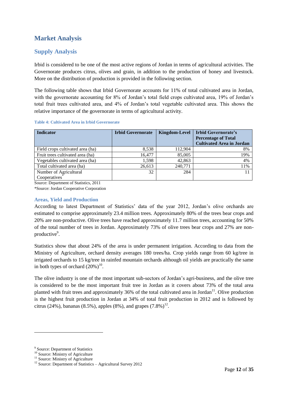# <span id="page-11-0"></span>**Market Analysis**

### <span id="page-11-1"></span>**Supply Analysis**

Irbid is considered to be one of the most active regions of Jordan in terms of agricultural activities. The Governorate produces citrus, olives and grain, in addition to the production of honey and livestock. More on the distribution of production is provided in the following section.

The following table shows that Irbid Governorate accounts for 11% of total cultivated area in Jordan, with the governorate accounting for 8% of Jordan's total field crops cultivated area, 19% of Jordan's total fruit trees cultivated area, and 4% of Jordan's total vegetable cultivated area. This shows the relative importance of the governorate in terms of agricultural activity.

#### <span id="page-11-3"></span>**Table 4: Cultivated Area in Irbid Governorate**

| <b>Indicator</b>                 | <b>Irbid Governorate</b> |         | Kingdom-Level   Irbid Governorate's<br><b>Percentage of Total</b> |
|----------------------------------|--------------------------|---------|-------------------------------------------------------------------|
|                                  |                          |         | <b>Cultivated Area in Jordan</b>                                  |
| Field crops cultivated area (ha) | 8.538                    | 112.904 | 8%                                                                |
| Fruit trees cultivated area (ha) | 16.477                   | 85,005  | 19%                                                               |
| Vegetables cultivated area (ha)  | 1,598                    | 42,863  | 4%                                                                |
| Total cultivated area (ha)       | 26,613                   | 240,771 | 11%                                                               |
| Number of Agricultural           | 32                       | 284     |                                                                   |
| Cooperatives <sup>*</sup>        |                          |         |                                                                   |

Source: Department of Statistics, 2011

\*Source: Jordan Cooperative Corporation

#### <span id="page-11-2"></span>**Areas, Yield and Production**

According to latest Department of Statistics' data of the year 2012, Jordan's olive orchards are estimated to comprise approximately 23.4 million trees. Approximately 80% of the trees bear crops and 20% are non-productive. Olive trees have reached approximately 11.7 million trees, accounting for 50% of the total number of trees in Jordan. Approximately 73% of olive trees bear crops and 27% are nonproductive<sup>9</sup>.

Statistics show that about 24% of the area is under permanent irrigation. According to data from the Ministry of Agriculture, orchard density averages 180 trees/ha. Crop yields range from 60 kg/tree in irrigated orchards to 15 kg/tree in rainfed mountain orchards although oil yields are practically the same in both types of orchard  $(20\%)^{10}$ .

The olive industry is one of the most important sub-sectors of Jordan's agri-business, and the olive tree is considered to be the most important fruit tree in Jordan as it covers about 73% of the total area planted with fruit trees and approximately 36% of the total cultivated area in Jordan<sup>11</sup>. Olive production is the highest fruit production in Jordan at 34% of total fruit production in 2012 and is followed by citrus (24%), bananas (8.5%), apples (8%), and grapes  $(7.8\%)^{12}$ .

<sup>&</sup>lt;sup>9</sup> Source: Department of Statistics

<sup>&</sup>lt;sup>10</sup> Source: Ministry of Agriculture

<sup>&</sup>lt;sup>11</sup> Source: Ministry of Agriculture

<sup>&</sup>lt;sup>12</sup> Source: Department of Statistics – Agricultural Survey 2012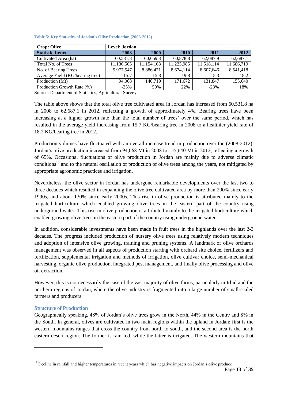| <b>Crop: Olive</b>              | Level: Jordan |            |            |            |            |
|---------------------------------|---------------|------------|------------|------------|------------|
| <b>Statistic Items</b>          | 2008          | 2009       | 2010       | 2011       | 2012       |
| Cultivated Area (ha)            | 60,531.8      | 60,659.8   | 60,878.8   | 62,087.9   | 62,687.1   |
| Total No. of Trees              | 11,136,565    | 11,154,168 | 11,225,985 | 11,518,114 | 11,686,719 |
| No. of Bearing Trees            | 5,977,547     | 8,886,471  | 8,674,114  | 8,607,646  | 8,541,418  |
| Average Yield (KG/bearing tree) | 15.7          | 15.8       | 19.8       | 15.3       | 18.2       |
| Production (Mt)                 | 94.068        | 140.719    | 171.672    | 131.847    | 155,640    |
| Production Growth Rate (%)      | $-25%$        | 50%        | 22%        | $-23%$     | 18%        |

<span id="page-12-1"></span>**Table 5: Key Statistics of Jordan's Olive Production (2008-2012)**

Source: Department of Statistics, Agricultural Survey

The table above shows that the total olive tree cultivated area in Jordan has increased from 60,531.8 ha in 2008 to 62,687.1 in 2012, reflecting a growth of approximately 4%. Bearing trees have been increasing at a higher growth rate than the total number of trees' over the same period, which has resulted in the average yield increasing from 15.7 KG/bearing tree in 2008 to a healthier yield rate of 18.2 KG/bearing tree in 2012.

Production volumes have fluctuated with an overall increase trend in production over the (2008-2012). Jordan's olive production increased from 94,068 Mt in 2008 to 155,640 Mt in 2012, reflecting a growth of 65%. Occasional fluctuations of olive production in Jordan are mainly due to adverse climatic conditions<sup>13</sup> and to the natural oscillation of production of olive trees among the years, not mitigated by appropriate agronomic practices and irrigation.

Nevertheless, the olive sector in Jordan has undergone remarkable developments over the last two to three decades which resulted in expanding the olive tree cultivated area by more than 200% since early 1990s, and about 130% since early 2000s. This rise in olive production is attributed mainly to the irrigated horticulture which enabled growing olive trees in the eastern part of the country using underground water. This rise in olive production is attributed mainly to the irrigated horticulture which enabled growing olive trees in the eastern part of the country using underground water.

In addition, considerable investments have been made in fruit trees in the highlands over the last 2-3 decades. The progress included production of nursery olive trees using relatively modern techniques and adoption of intensive olive growing, training and pruning systems. A landmark of olive orchards management was observed in all aspects of production starting with orchard site choice, fertilizers and fertilization, supplemental irrigation and methods of irrigation, olive cultivar choice, semi-mechanical harvesting, organic olive production, integrated pest management, and finally olive processing and olive oil extraction.

However, this is not necessarily the case of the vast majority of olive farms, particularly in Irbid and the northern regions of Jordan, where the olive industry is fragmented into a large number of small-scaled farmers and producers.

#### <span id="page-12-0"></span>**Structure of Production**

-

Geographically speaking, 48% of Jordan's olive trees grow in the North, 44% in the Centre and 8% in the South. In general, olives are cultivated in two main regions within the upland in Jordan; first is the western mountains ranges that cross the country from north to south, and the second area is the north eastern desert region. The former is rain-fed, while the latter is irrigated. The western mountains that

<sup>&</sup>lt;sup>13</sup> Decline in rainfall and higher temperatures in recent years which has negative impacts on Jordan's olive produce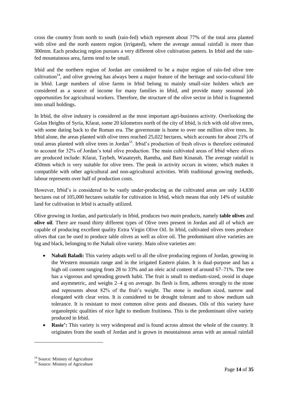cross the country from north to south (rain-fed) which represent about 77% of the total area planted with olive and the north eastern region (irrigated), where the average annual rainfall is more than 300mm. Each producing region pursues a very different olive cultivation pattern. In Irbid and the rainfed mountainous area, farms tend to be small.

Irbid and the northern region of Jordan are considered to be a major region of rain-fed olive tree cultivation<sup>14</sup>, and olive growing has always been a major feature of the heritage and socio-cultural life in Irbid. Large numbers of olive farms in Irbid belong to mainly small-size holders which are considered as a source of income for many families in Irbid, and provide many seasonal job opportunities for agricultural workers. Therefore, the structure of the olive sector in Irbid is fragmented into small holdings.

In Irbid, the olive industry is considered as the most important agri-business activity. Overlooking the Golan Heights of Syria, Kfarat, some 20 kilometres north of the city of Irbid, is rich with old olive trees, with some dating back to the Roman era. The governorate is home to over one million olive trees. In Irbid alone, the areas planted with olive trees reached 25,022 hectares, which accounts for about 21% of total areas planted with olive trees in Jordan<sup>15</sup>. Irbid's production of fresh olives is therefore estimated to account for 32% of Jordan's total olive production. The main cultivated areas of Irbid where olives are produced include: Kfarat, Taybeh, Wasateyeh, Ramtha, and Bani Kinanah. The average rainfall is 450mm which is very suitable for olive trees. The peak in activity occurs in winter, which makes it compatible with other agricultural and non-agricultural activities. With traditional growing methods, labour represents over half of production costs.

However, Irbid's is considered to be vastly under-producing as the cultivated areas are only 14,830 hectares out of 105,000 hectares suitable for cultivation in Irbid, which means that only 14% of suitable land for cultivation in Irbid is actually utilized.

Olive growing in Jordan, and particularly in Irbid, produces two *main* products, namely **table olives** and **olive oil**. There are round thirty different types of Olive trees present in Jordan and all of which are capable of producing excellent quality Extra Virgin Olive Oil. In Irbid, cultivated olives trees produce olives that can be used to produce table olives as well as olive oil. The predominant olive varieties are big and black, belonging to the Nabali olive variety. Main olive varieties are:

- **Nabali Baladi:** This variety adapts well to all the olive producing regions of Jordan, growing in the Western mountain range and in the irrigated Eastern plains. It is dual-purpose and has a high oil content ranging from 28 to 33% and an oleic acid content of around 67–71%. The tree has a vigorous and spreading growth habit. The fruit is small to medium-sized, ovoid in shape and asymmetric, and weighs 2–4 g on average. Its flesh is firm, adheres strongly to the stone and represents about 82% of the fruit's weight. The stone is medium sized, narrow and elongated with clear veins. It is considered to be drought tolerant and to show medium salt tolerance. It is resistant to most common olive pests and diseases. Oils of this variety have organoleptic qualities of nice light to medium fruitiness. This is the predominant olive variety produced in Irbid.
- **Rasie':** This variety is very widespread and is found across almost the whole of the country. It originates from the south of Jordan and is grown in mountainous areas with an annual rainfall

<sup>&</sup>lt;sup>14</sup> Source: Ministry of Agriculture

<sup>&</sup>lt;sup>15</sup> Source: Ministry of Agriculture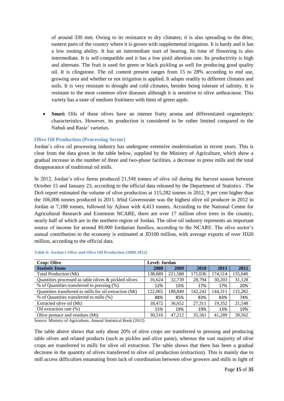of around 330 mm. Owing to its resistance to dry climates; it is also spreading to the drier, eastern parts of the country where it is grown with supplemental irrigation. It is hardy and it has a low rooting ability. It has an intermediate start of bearing. Its time of flowering is also intermediate. It is self-compatible and it has a low pistil abortion rate. Its productivity is high and alternate. The fruit is used for green or black pickling as well for producing good quality oil. It is clingstone. The oil content present ranges from 15 to 28% according to end use, growing area and whether or not irrigation is applied. It adapts readily to different climates and soils. It is very resistant to drought and cold climates, besides being tolerant of salinity. It is resistant to the most common olive diseases although it is sensitive to olive anthracnose. This variety has a taste of medium fruitiness with hints of green apple.

 **Souri:** Oils of these olives have an intense fruity aroma and differentiated organoleptic characteristics. However, its production is considered to be rather limited compared to the Nabali and Rasie' varieties.

#### <span id="page-14-0"></span>**Olive Oil Production (Processing Sector)**

Jordan's olive oil processing industry has undergone extensive modernisation in recent years. This is clear from the data given in the table below, supplied by the Ministry of Agriculture, which show a gradual increase in the number of three and two-phase facilities, a decrease in press mills and the total disappearance of traditional oil mills.

In 2012, Jordan's olive farms produced 21,548 tonnes of olive oil during the harvest season between October 15 and January 23, according to the official data released by the Department of Statistics . The DoS report estimated the volume of olive production at 115,282 tonnes in 2012, 9 per cent higher than the 106,006 tonnes produced in 2011. Irbid Governorate was the highest olive oil producer in 2012 in Jordan at 7,188 tonnes, followed by Ajloun with 4,413 tonnes. According to the National Centre for Agricultural Research and Extension NCARE, there are over 17 million olive trees in the country, nearly half of which are in the northern region of Jordan. The olive oil industry represents an important source of income for around 80,000 Jordanian families, according to the NCARE. The olive sector's annual contribution to the economy is estimated at JD100 million, with average exports of over JD20 million, according to the official data.

| <b>Crop: Olive</b>                                      | Level: Jordan |         |         |         |         |
|---------------------------------------------------------|---------------|---------|---------|---------|---------|
| <b>Statistic Items</b>                                  | 2008          | 2009    | 2010    | 2011    | 2012    |
| Total Production (Mt)                                   | 138,689       | 221,588 | 171,036 | 174,514 | 155,640 |
| Quantities processed as table olives & pickled olives   | 16.624        | 32.739  | 28.794  | 30.203  | 31,128  |
| % of Quantities transferred to pressing (%)             | 12%           | 15%     | 17%     | 17%     | 20%     |
| Quantities transferred to mills for oil extraction (Mt) | 122,065       | 188.849 | 142.242 | 144.311 | 15,282  |
| % of Quantities transferred to mills (%)                | 88%           | 85%     | 83%     | 83%     | 74%     |
| Extracted olive oil (Mt)                                | 18.472        | 36,652  | 27,311  | 19,352  | 21,548  |
| Oil extraction rate (%)                                 | 15%           | 19%     | 19%     | 13%     | 19%     |
| Olive pomace and residues (Mt)                          | 30.516        | 47.212  | 35,561  | 41.289  | 39.562  |

<span id="page-14-1"></span>**Table 6: Jordan's Olive and Olive Oil Production (2008-2012)**

Source: Ministry of Agriculture, Annual Statistical Book (2012)

The table above shows that only about 20% of olive crops are transferred to pressing and producing table olives and related products (such as pickles and olive paste), whereas the vast majority of olive crops are transferred to mills for olive oil extraction. The table shows that there has been a gradual decrease in the quantity of olives transferred to olive oil production (extraction). This is mainly due to mill access difficulties emanating from lack of coordination between olive growers and mills in light of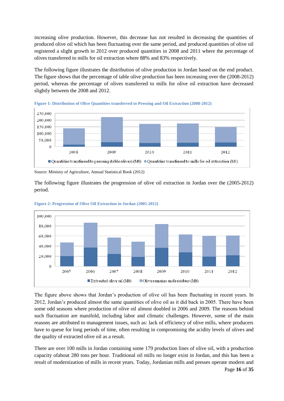increasing olive production. However, this decrease has not resulted in decreasing the quantities of produced olive oil which has been fluctuating over the same period, and produced quantities of olive oil registered a slight growth in 2012 over produced quantities in 2008 and 2011 where the percentage of olives transferred to mills for oil extraction where 88% and 83% respectively.

The following figure illustrates the distribution of olive production in Jordan based on the end product. The figure shows that the percentage of table olive production has been increasing over the (2008-2012) period, whereas the percentage of olives transferred to mills for olive oil extraction have decreased slightly between the 2008 and 2012.



**Figure 1: Distribution of Olive Quantities transferred to Pressing and Oil Extraction (2008-2012)**

The following figure illustrates the progression of olive oil extraction in Jordan over the (2005-2012) period.



**Figure 2: Progression of Olive Oil Extraction in Jordan (2005-2012)**

The figure above shows that Jordan's production of olive oil has been fluctuating in recent years. In 2012, Jordan's produced almost the same quantities of olive oil as it did back in 2005. There have been some odd seasons where production of olive oil almost doubled in 2006 and 2009. The reasons behind such fluctuation are manifold, including labor and climatic challenges. However, some of the main reasons are attributed to management issues, such as: lack of efficiency of olive mills, where producers have to queue for long periods of time, often resulting in compromising the acidity levels of olives and the quality of extracted olive oil as a result.

There are over 100 mills in Jordan containing some 179 production lines of olive oil, with a production capacity ofabout 280 tons per hour. Traditional oil mills no longer exist in Jordan, and this has been a result of modernization of mills in recent years. Today, Jordanian mills and presses operate modern and

Source: Ministry of Agriculture, Annual Statistical Book (2012)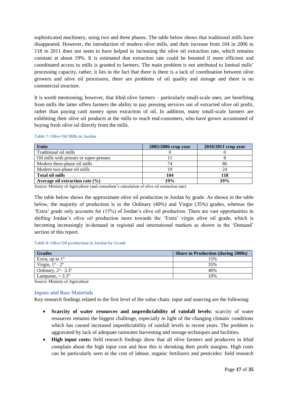sophisticated machinery, using two and three phases. The table below shows that traditional mills have disappeared. However, the introduction of modern olive mills, and their increase from 104 in 2006 to 118 in 2011 does not seem to have helped in increasing the olive oil extraction rate, which remains constant at about 19%. It is estimated that extraction rate could be boosted if more efficient and coordinated access to mills is granted to farmers. The main problem is not attributed to limited mills' processing capacity, rather, it lies in the fact that there is there is a lack of coordination between olive growers and olive oil processors, there are problems of oil quality and storage and there is no commercial structure.

It is worth mentioning; however, that Irbid olive farmers – particularly small-scale ones, are benefiting from mills the latter offers farmers the ability to pay pressing services out of extracted olive oil profit, rather than paying cash money upon extraction of oil. In addition, many small-scale farmers are exhibiting their olive oil products at the mills to reach end-customers, who have grown accustomed of buying fresh olive oil directly from the mills.

| <b>Units</b>                            | 2005/2006 crop year | 2010/2011 crop year |
|-----------------------------------------|---------------------|---------------------|
| Traditional oil mills                   |                     |                     |
| Oil mills with presses or super-presses |                     |                     |
| Modern three-phase oil mills            | 74                  | 86                  |
| Modern two-phase oil mills              | 19                  | 24                  |
| <b>Total oil mills</b>                  | 104                 | 118                 |
| Average oil extraction rate $(\% )$     | 19%                 | 19%                 |

#### <span id="page-16-1"></span>**Table 7: Olive Oil Mills in Jordan**

Source: Ministry of Agriculture (and consultant's calculation of olive oil extraction rate)

The table below shows the approximate olive oil production in Jordan by grade. As shown in the table below, the majority of production is in the Ordinary (40%) and Virgin (35%) grades, whereas the 'Extra' grade only accounts for (15%) of Jordan's olive oil production. There are vast opportunities in shifting Jordan's olive oil production more towards the 'Extra' virgin olive oil grade, which is becoming increasingly in-demand in regional and international markets as shown in the 'Demand' section of this report.

#### <span id="page-16-2"></span>**Table 8: Olive Oil production in Jordan by Grade**

| <b>Grades</b>                | <b>Share in Production (during 2000s)</b> |
|------------------------------|-------------------------------------------|
| Extra, up to $1^\circ$       | 15%                                       |
| Virgin, $1^\circ - 2^\circ$  | 35%                                       |
| Ordinary, $2^{\circ}$ – 3.3° | 40%                                       |
| Lampante, $> 3.3^{\circ}$    | 10%                                       |

Source: Ministry of Agriculture

#### <span id="page-16-0"></span>**Inputs and Raw Materials**

Key research findings related to the first level of the value chain: input and sourcing are the following:

- **Scarcity of water resources and unpredictability of rainfall levels:** scarcity of water resources remains the biggest challenge, especially in light of the changing climatic conditions which has caused increased unpredictability of rainfall levels in recent years. The problem is aggravated by lack of adequate rainwater harvesting and storage techniques and facilities.
- **High input costs:** field research findings show that all olive farmers and producers in Irbid complain about the high input cost and how this is shrinking their profit margins. High costs can be particularly seen in the cost of labour, organic fertilizers and pesticides: field research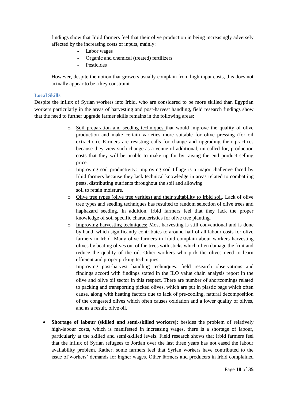findings show that Irbid farmers feel that their olive production in being increasingly adversely affected by the increasing costs of inputs, mainly:

- Labor wages
- Organic and chemical (treated) fertilizers
- Pesticides

However, despite the notion that growers usually complain from high input costs, this does not actually appear to be a key constraint.

#### <span id="page-17-0"></span>**Local Skills**

Despite the influx of Syrian workers into Irbid, who are considered to be more skilled than Egyptian workers particularly in the areas of harvesting and post-harvest handling, field research findings show that the need to further upgrade farmer skills remains in the following areas:

- o Soil preparation and seeding techniques that would improve the quality of olive production and make certain varieties more suitable for olive pressing (for oil extraction). Farmers are resisting calls for change and upgrading their practices because they view such change as a venue of additional, un-called for, production costs that they will be unable to make up for by raising the end product selling price.
- $\circ$  Improving soil productivity: improving soil tillage is a major challenge faced by Irbid farmers because they lack technical knowledge in areas related to combatting pests, distributing nutrients throughout the soil and allowing soil to retain moisture.
- o Olive tree types (olive tree verities) and their suitability to Irbid soil. Lack of olive tree types and seeding techniques has resulted to random selection of olive trees and haphazard seeding. In addition, Irbid farmers feel that they lack the proper knowledge of soil specific characteristics for olive tree planting.
- o Improving harvesting techniques: Most harvesting is still conventional and is done by hand, which significantly contributes to around half of all labour costs for olive farmers in Irbid. Many olive farmers in Irbid complain about workers harvesting olives by beating olives out of the trees with sticks which often damage the fruit and reduce the quality of the oil. Other workers who pick the olives need to learn efficient and proper picking techniques.
- o Improving post-harvest handling techniques: field research observations and findings accord with findings stated in the ILO value chain analysis report in the olive and olive oil sector in this respect. There are number of shortcomings related to packing and transporting picked olives, which are put in plastic bags which often cause, along with heating factors due to lack of pre-cooling, natural decomposition of the congested olives which often causes oxidation and a lower quality of olives, and as a result, olive oil.
- **Shortage of labour (skilled and semi-skilled workers):** besides the problem of relatively high-labour costs, which is manifested in increasing wages, there is a shortage of labour, particularly at the skilled and semi-skilled levels. Field research shows that Irbid farmers feel that the influx of Syrian refugees to Jordan over the last three years has not eased the labour availability problem. Rather, some farmers feel that Syrian workers have contributed to the issue of workers' demands for higher wages. Other farmers and producers in Irbid complained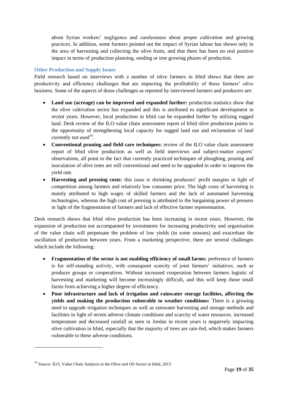about Syrian workers' negligence and carelessness about proper cultivation and growing practices. In addition, some farmers pointed out the impact of Syrian labour has shown only in the area of harvesting and collecting the olive fruits, and that there has been no real positive impact in terms of production planning, seeding or tree growing phases of production.

#### <span id="page-18-0"></span>**Other Production and Supply Issues**

Field research based on interviews with a number of olive farmers in Irbid shows that there are productivity and efficiency challenges that are impacting the profitability of those farmers' olive business. Some of the aspects of those challenges as reported by interviewed farmers and producers are:

- **Land use (acreage) can be improved and expanded further:** production statistics show that the olive cultivation sector has expanded and this is attributed to significant development in recent years. However, local production in Irbid can be expanded further by utilizing rugged land. Desk review of the ILO value chain assessment report of Irbid olive production points to the opportunity of strengthening local capacity for rugged land use and reclamation of land currently not used $16$ .
- **Conventional pruning and field care techniques:** review of the ILO value chain assessment report of Irbid olive production as well as field interviews and subject-matter experts' observations, all point to the fact that currently practiced techniques of ploughing, pruning and inoculation of olive trees are still conventional and need to be upgraded in order to improve the yield rate.
- **Harvesting and pressing costs:** this issue is shrinking producers' profit margins in light of competition among farmers and relatively low consumer price. The high costs of harvesting is mainly attributed to high wages of skilled farmers and the lack of automated harvesting technologies, whereas the high cost of pressing is attributed to the bargaining power of pressers in light of the fragmentation of farmers and lack of effective farmer representation.

Desk research shows that Irbid olive production has been increasing in recent years. However, the expansion of production not accompanied by investments for increasing productivity and organisation of the value chain will perpetuate the problem of low yields (in some seasons) and exacerbate the oscillation of production between years. From a marketing perspective, there are several challenges which include the following:

- **Fragmentation of the sector is not enabling efficiency of small farms:** preference of farmers is for self-standing activity, with consequent scarcity of joint farmers' initiatives, such as producer groups or cooperatives. Without increased cooperation between farmers logistic of harvesting and marketing will become increasingly difficult, and this will keep those small farms from achieving a higher degree of efficiency.
- **Poor infrastructure and lack of irrigation and rainwater storage facilities, affecting the yields and making the production vulnerable to weather conditions:** There is a growing need to upgrade irrigation techniques as well as rainwater harvesting and storage methods and facilities in light of recent adverse climate conditions and scarcity of water resources. increased temperature and decreased rainfall as seen in Jordan in recent years is negatively impacting olive cultivation in Irbid, especially that the majority of trees are rain-fed, which makes farmers vulnerable to these adverse conditions.

<sup>&</sup>lt;sup>16</sup> Source: ILO, Value Chain Analysis in the Olive and Oil Sector in Irbid, 2013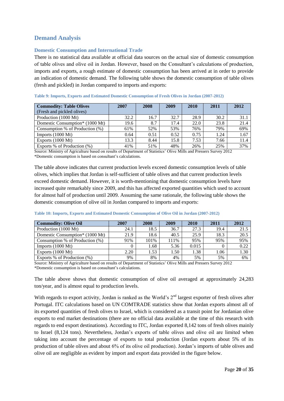# <span id="page-19-0"></span>**Demand Analysis**

#### <span id="page-19-1"></span>**Domestic Consumption and International Trade**

There is no statistical data available at official data sources on the actual size of domestic consumption of table olives and olive oil in Jordan. However, based on the Consultant's calculations of production, imports and exports, a rough estimate of domestic consumption has been arrived at in order to provide an indication of domestic demand. The following table shows the domestic consumption of table olives (fresh and pickled) in Jordan compared to imports and exports:

| <b>Commodity: Table Olives</b>  | 2007 | 2008 | 2009 | 2010 | 2011 | 2012 |
|---------------------------------|------|------|------|------|------|------|
| (Fresh and pickled olives)      |      |      |      |      |      |      |
| Production (1000 Mt)            | 32.2 | 16.7 | 32.7 | 28.9 | 30.2 | 31.1 |
| Domestic Consumption* (1000 Mt) | 19.6 | 8.7  | 17.4 | 22.0 | 23.8 | 21.4 |
| Consumption % of Production (%) | 61%  | 52%  | 53%  | 76%  | 79%  | 69%  |
| Imports $(1000 \text{ Mt})$     | 0.64 | 0.51 | 0.52 | 0.75 | 1.24 | 1.67 |
| Exports $(1000 \text{ Mt})$     | 13.3 | 8.44 | 15.8 | 7.53 | 7.66 | 11.4 |
| Exports % of Production (%)     | 41%  | 51%  | 48%  | 26%  | 25%  | 37%  |

<span id="page-19-2"></span>**Table 9: Imports, Exports and Estimated Domestic Consumption of Fresh Olives in Jordan (2007-2012)**

Source: Ministry of Agriculture based on results of Department of Statistics' Olive Mills and Pressers Survey 2012 \*Domestic consumption is based on consultant's calculations.

The table above indicates that current production levels exceed domestic consumption levels of table olives, which implies that Jordan is self-sufficient of table olives and that current production levels exceed domestic demand. However, it is worth-mentioning that domestic consumption levels have increased quite remarkably since 2009, and this has affected exported quantities which used to account for almost half of production until 2009. Assuming the same rationale, the following table shows the domestic consumption of olive oil in Jordan compared to imports and exports:

| <b>Commodity: Olive Oil</b>     | 2007 | 2008 | 2009 | 2010  | 2011 | 2012 |
|---------------------------------|------|------|------|-------|------|------|
| Production (1000 Mt)            | 24.1 | 18.5 | 36.7 | 27.3  | 19.4 | 21.5 |
| Domestic Consumption* (1000 Mt) | 21.9 | 18.6 | 40.5 | 25.9  | 18.3 | 20.5 |
| Consumption % of Production (%) | 91%  | 101% | 111% | 95%   | 95%  | 95%  |
| Imports $(1000 \text{ Mt})$     |      | 1.68 | 5.36 | 0.015 |      | 0.22 |
| Exports $(1000 \text{ Mt})$     | 2.20 | 1.53 | 1.50 | 1.38  | 1.06 | 1.30 |
| Exports % of Production (%)     | 9%   | 8%   | 4%   | 5%    | 5%   | 6%   |

<span id="page-19-3"></span>**Table 10: Imports, Exports and Estimated Domestic Consumption of Olive Oil in Jordan (2007-2012)**

Source: Ministry of Agriculture based on results of Department of Statistics' Olive Mills and Pressers Survey 2012 \*Domestic consumption is based on consultant's calculations.

The table above shows that domestic consumption of olive oil averaged at approximately 24,283 ton/year, and is almost equal to production levels.

With regards to export activity, Jordan is ranked as the World's  $2<sup>nd</sup>$  largest exporter of fresh olives after Portugal. ITC calculations based on UN COMTRADE statistics show that Jordan exports almost all of its exported quantities of fresh olives to Israel, which is considered as a transit point for Jordanian olive exports to end market destinations (there are no official data available at the time of this research with regards to end export destinations). According to ITC, Jordan exported 8,142 tons of fresh olives mainly to Israel (8,124 tons). Nevertheless, Jordan's exports of table olives and olive oil are limited when taking into account the percentage of exports to total production (Jordan exports about 5% of its production of table olives and about 6% of its olive oil production). Jordan's imports of table olives and olive oil are negligible as evident by import and export data provided in the figure below.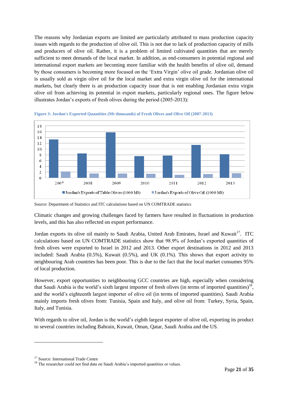The reasons why Jordanian exports are limited are particularly attributed to mass production capacity issues with regards to the production of olive oil. This is not due to lack of production capacity of mills and producers of olive oil. Rather, it is a problem of limited cultivated quantities that are merely sufficient to meet demands of the local market. In addition, as end-consumers in potential regional and international export markets are becoming more familiar with the health benefits of olive oil, demand by those consumers is becoming more focused on the 'Extra Virgin' olive oil grade. Jordanian olive oil is usually sold as virgin olive oil for the local market and extra virgin olive oil for the international markets, but clearly there is an production capacity issue that is not enabling Jordanian extra virgin olive oil from achieving its potential in export markets, particularly regional ones. The figure below illustrates Jordan's exports of fresh olives during the period (2005-2013):



**Figure 3: Jordan's Exported Quantities (Mt thousands) of Fresh Olives and Olive Oil (2007-2013)**

Climatic changes and growing challenges faced by farmers have resulted in fluctuations in production levels, and this has also reflected on export performance.

Jordan exports its olive oil mainly to Saudi Arabia, United Arab Emirates, Israel and Kuwait<sup>17</sup>. ITC calculations based on UN COMTRADE statistics show that 98.9% of Jordan's exported quantities of fresh olives were exported to Israel in 2012 and 2013. Other export destinations in 2012 and 2013 included: Saudi Arabia (0.5%), Kuwait (0.5%), and UK (0.1%). This shows that export activity to neighbouring Arab countries has been poor. This is due to the fact that the local market consumes 95% of local production.

However, export opportunities to neighbouring GCC countries are high, especially when considering that Saudi Arabia is the world's sixth largest importer of fresh olives (in terms of imported quantities)<sup>18</sup>, and the world's eighteenth largest importer of olive oil (in terms of imported quantities). Saudi Arabia mainly imports fresh olives from: Tunisia, Spain and Italy, and olive oil from: Turkey, Syria, Spain, Italy, and Tunisia.

With regards to olive oil, Jordan is the world's eighth largest exporter of olive oil, exporting its product to several countries including Bahrain, Kuwait, Oman, Qatar, Saudi Arabia and the US.

Source: Department of Statistics and ITC calculations based on UN COMTRADE statistics

<sup>&</sup>lt;sup>17</sup> Source: International Trade Centre

<sup>&</sup>lt;sup>18</sup> The researcher could not find data on Saudi Arabia's imported quantities or values.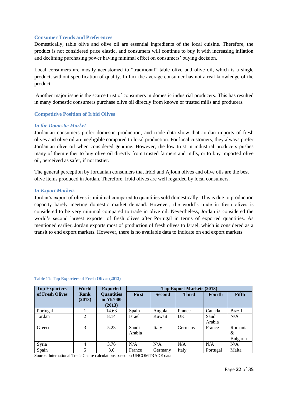#### <span id="page-21-0"></span>**Consumer Trends and Preferences**

Domestically, table olive and olive oil are essential ingredients of the local cuisine. Therefore, the product is not considered price elastic, and consumers will continue to buy it with increasing inflation and declining purchasing power having minimal effect on consumers' buying decision.

Local consumers are mostly accustomed to "traditional" table olive and olive oil, which is a single product, without specification of quality. In fact the average consumer has not a real knowledge of the product.

Another major issue is the scarce trust of consumers in domestic industrial producers. This has resulted in many domestic consumers purchase olive oil directly from known or trusted mills and producers.

#### <span id="page-21-1"></span>**Competitive Position of Irbid Olives**

#### *In the Domestic Market*

Jordanian consumers prefer domestic production, and trade data show that Jordan imports of fresh olives and olive oil are negligible compared to local production. For local customers, they always prefer Jordanian olive oil when considered genuine. However, the low trust in industrial producers pushes many of them either to buy olive oil directly from trusted farmers and mills, or to buy imported olive oil, perceived as safer, if not tastier.

The general perception by Jordanian consumers that Irbid and Ajloun olives and olive oils are the best olive items produced in Jordan. Therefore, Irbid olives are well regarded by local consumers.

#### *In Export Markets*

Jordan's export of olives is minimal compared to quantities sold domestically. This is due to production capacity barely meeting domestic market demand. However, the world's trade in fresh olives is considered to be very minimal compared to trade in olive oil. Nevertheless, Jordan is considered the world's second largest exporter of fresh olives after Portugal in terms of exported quantities. As mentioned earlier, Jordan exports most of production of fresh olives to Israel, which is considered as a transit to end export markets. However, there is no available data to indicate on end export markets.

| <b>Top Exporters</b> | World                 | <b>Top Export Markets (2013)</b><br><b>Exported</b> |                 |               |              |                 |                          |
|----------------------|-----------------------|-----------------------------------------------------|-----------------|---------------|--------------|-----------------|--------------------------|
| of Fresh Olives      | <b>Rank</b><br>(2013) | <b>Quantities</b><br>in $Mt'000$<br>(2013)          | <b>First</b>    | <b>Second</b> | <b>Third</b> | <b>Fourth</b>   | <b>Fifth</b>             |
| Portugal             |                       | 14.63                                               | Spain           | Angola        | France       | Canada          | Brazil                   |
| Jordan               | 2                     | 8.14                                                | Israel          | Kuwait        | UK           | Saudi<br>Arabia | N/A                      |
| Greece               | 3                     | 5.23                                                | Saudi<br>Arabia | Italy         | Germany      | France          | Romania<br>&<br>Bulgaria |
| Syria                | 4                     | 3.76                                                | N/A             | N/A           | N/A          | N/A             | N/A                      |
| Spain                | 5                     | 3.0                                                 | France          | Germany       | Italy        | Portugal        | Malta                    |

#### <span id="page-21-2"></span>**Table 11: Top Exporters of Fresh Olives (2013)**

Source: International Trade Centre calculations based on UNCOMTRADE data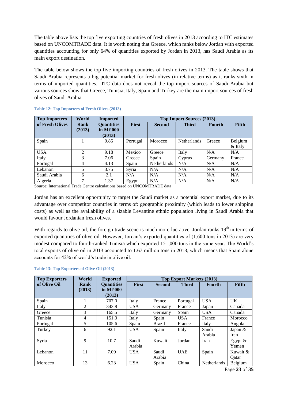The table above lists the top five exporting countries of fresh olives in 2013 according to ITC estimates based on UNCOMTRADE data. It is worth noting that Greece, which ranks below Jordan with exported quantities accounting for only 64% of quantities exported by Jordan in 2013, has Saudi Arabia as its main export destination.

The table below shows the top five importing countries of fresh olives in 2013. The table shows that Saudi Arabia represents a big potential market for fresh olives (in relative terms) as it ranks sixth in terms of imported quantities. ITC data does not reveal the top import sources of Saudi Arabia but various sources show that Greece, Tunisia, Italy, Spain and Turkey are the main import sources of fresh olives of Saudi Arabia.

| <b>Top Importers</b> | World          | <b>Imported</b>                            |              |                    | <b>Top Import Sources (2013)</b> |               |                      |
|----------------------|----------------|--------------------------------------------|--------------|--------------------|----------------------------------|---------------|----------------------|
| of Fresh Olives      | Rank<br>(2013) | <b>Quantities</b><br>in $Mt'000$<br>(2013) | <b>First</b> | <b>Second</b>      | <b>Third</b>                     | <b>Fourth</b> | <b>Fifth</b>         |
| Spain                |                | 9.85                                       | Portugal     | Morocco            | <b>Netherlands</b>               | Greece        | Belgium<br>$&$ Italy |
| <b>USA</b>           | 2              | 9.18                                       | Mexico       | Greece             | Italy                            | N/A           | N/A                  |
| Italy                | 3              | 7.06                                       | Greece       | Spain              | Cyprus                           | Germany       | France               |
| Portugal             | 4              | 4.13                                       | Spain        | <b>Netherlands</b> | N/A                              | N/A           | N/A                  |
| Lebanon              | 5              | 3.75                                       | Syria        | N/A                | N/A                              | N/A           | N/A                  |
| Saudi Arabia         | 6              | 2.1                                        | N/A          | N/A                | N/A                              | N/A           | N/A                  |
| Algeria              | 7              | 1.37                                       | Egypt        | N/A                | N/A                              | N/A           | N/A                  |

#### <span id="page-22-0"></span>**Table 12: Top Importers of Fresh Olives (2013)**

Source: International Trade Centre calculations based on UNCOMTRADE data

Jordan has an excellent opportunity to target the Saudi market as a potential export market, due to its advantage over competitor countries in terms of: geographic proximity (which leads to lower shipping costs) as well as the availability of a sizable Levantine ethnic population living in Saudi Arabia that would favour Jordanian fresh olives.

With regards to olive oil, the foreign trade scene is much more lucrative. Jordan ranks  $19<sup>th</sup>$  in terms of exported quantities of olive oil. However, Jordan's exported quantities of (1,600 tons in 2013) are very modest compared to fourth-ranked Tunisia which exported 151,000 tons in the same year. The World's total exports of olive oil in 2013 accounted to 1.67 million tons in 2013, which means that Spain alone accounts for 42% of world's trade in olive oil.

| <b>Top Exporters</b> | World          | <b>Exported</b>                            | <b>Top Export Markets (2013)</b> |                 |              |                    |                     |
|----------------------|----------------|--------------------------------------------|----------------------------------|-----------------|--------------|--------------------|---------------------|
| of Olive Oil         | Rank<br>(2013) | <b>Quantities</b><br>in $Mt'000$<br>(2013) | <b>First</b>                     | <b>Second</b>   | <b>Third</b> | <b>Fourth</b>      | <b>Fifth</b>        |
| Spain                |                | 707.0                                      | Italy                            | France          | Portugal     | <b>USA</b>         | UK.                 |
| Italy                | $\overline{2}$ | 343.8                                      | <b>USA</b>                       | Germany         | France       | Japan              | Canada              |
| Greece               | 3              | 165.5                                      | Italy                            | Germany         | Spain        | <b>USA</b>         | Canada              |
| Tunisia              | 4              | 151.0                                      | Italy                            | Spain           | <b>USA</b>   | France             | Morocco             |
| Portugal             | 5              | 105.6                                      | Spain                            | <b>Brazil</b>   | France       | Italy              | Angola              |
| Turkey               | 6              | 92.1                                       | <b>USA</b>                       | Spain           | Italy        | Saudi<br>Arabia    | Japan $&$<br>Iran   |
| Syria                | 9              | 10.7                                       | Saudi<br>Arabia                  | Kuwait          | Jordan       | Iran               | Egypt $\&$<br>Yemen |
| Lebanon              | 11             | 7.09                                       | <b>USA</b>                       | Saudi<br>Arabia | <b>UAE</b>   | Spain              | Kuwait &<br>Oatar   |
| Morocco              | 13             | 6.23                                       | <b>USA</b>                       | Spain           | China        | <b>Netherlands</b> | Belgium             |

#### <span id="page-22-1"></span>**Table 13: Top Exporters of Olive Oil (2013)**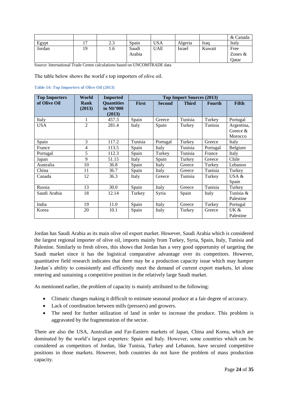|        |    |     |                 |            |         |        | & Canada          |
|--------|----|-----|-----------------|------------|---------|--------|-------------------|
| Egypt  |    | 2.3 | Spain           | USA        | Algeria | Iraq   | Italy             |
| Jordan | 19 | 1.6 | Saudi<br>Arabia | <b>UAE</b> | Israel  | Kuwait | Free<br>Zones $&$ |
|        |    |     |                 |            |         |        | Oatar             |

Source: International Trade Centre calculations based on UNCOMTRADE data

The table below shows the world's top importers of olive oil.

<span id="page-23-0"></span>

| <b>Top Importers</b> | World          | <b>Imported</b>                          | <b>Top Import Sources (2013)</b> |               |              |               |            |
|----------------------|----------------|------------------------------------------|----------------------------------|---------------|--------------|---------------|------------|
| of Olive Oil         | Rank<br>(2013) | <b>Quantities</b><br>in Mt'000<br>(2013) | <b>First</b>                     | <b>Second</b> | <b>Third</b> | <b>Fourth</b> | Fifth      |
| Italy                | 1              | 457.3                                    | Spain                            | Greece        | Tunisia      | Turkey        | Portugal   |
| <b>USA</b>           | $\overline{2}$ | 281.4                                    | Italy                            | Spain         | Turkey       | Tunisia       | Argentina, |
|                      |                |                                          |                                  |               |              |               | Greece &   |
|                      |                |                                          |                                  |               |              |               | Morocco    |
| Spain                | 3              | 117.2                                    | Tunisia                          | Portugal      | Turkey       | Greece        | Italy      |
| France               | $\overline{4}$ | 113.5                                    | Spain                            | Italy         | Tunisia      | Portugal      | Belgium    |
| Portugal             | 5              | 112.3                                    | Spain                            | Turkey        | Tunisia      | France        | Italy      |
| Japan                | 9              | 51.15                                    | Italy                            | Spain         | Turkey       | Greece        | Chile      |
| Australia            | 10             | 36.8                                     | Spain                            | Italy         | Greece       | Turkey        | Lebanon    |
| China                | 11             | 36.7                                     | Spain                            | Italy         | Greece       | Tunisia       | Turkey     |
| Canada               | 12             | 36.3                                     | Italy                            | Greece        | Tunisia      | Turkey        | USA $&$    |
|                      |                |                                          |                                  |               |              |               | Spain      |
| Russia               | 13             | 30.0                                     | Spain                            | Italy         | Greece       | Tunisia       | Turkey     |
| Saudi Arabia         | 18             | 12.14                                    | Turkey                           | Syria         | Spain        | Italy         | Tunisia &  |
|                      |                |                                          |                                  |               |              |               | Palestine  |
| India                | 19             | 11.0                                     | Spain                            | Italy         | Greece       | Turkey        | Portugal   |
| Korea                | 20             | 10.1                                     | Spain                            | Italy         | Turkey       | Greece        | UK &       |
|                      |                |                                          |                                  |               |              |               | Palestine  |

Jordan has Saudi Arabia as its main olive oil export market. However, Saudi Arabia which is considered the largest regional importer of olive oil, imports mainly from Turkey, Syria, Spain, Italy, Tunisia and Palestine. Similarly to fresh olives, this shows that Jordan has a very good opportunity of targeting the Saudi market since it has the logistical comparative advantage over its competitors. However, quantitative field research indicates that there may be a production capacity issue which may hamper Jordan's ability to consistently and efficiently meet the demand of current export markets, let alone entering and sustaining a competitive position in the relatively large Saudi market.

As mentioned earlier, the problem of capacity is mainly attributed to the following:

- Climatic changes making it difficult to estimate seasonal produce at a fair degree of accuracy.
- Lack of coordination between mills (pressers) and growers.
- The need for further utilization of land in order to increase the produce. This problem is aggravated by the fragmentation of the sector.

There are also the USA, Australian and Far-Eastern markets of Japan, China and Korea, which are dominated by the world's largest exporters: Spain and Italy. However, some countries which can be considered as competitors of Jordan, like Tunisia, Turkey and Lebanon, have secured competitive positions in those markets. However, both countries do not have the problem of mass production capacity.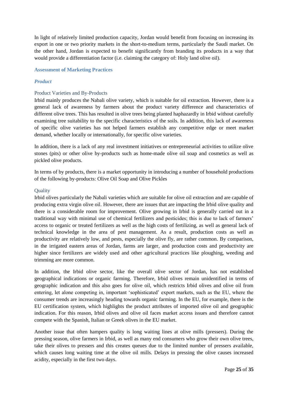In light of relatively limited production capacity, Jordan would benefit from focusing on increasing its export in one or two priority markets in the short-to-medium terms, particularly the Saudi market. On the other hand, Jordan is expected to benefit significantly from branding its products in a way that would provide a differentiation factor (i.e. claiming the category of: Holy land olive oil).

#### <span id="page-24-0"></span>**Assessment of Marketing Practices**

#### *Product*

#### Product Varieties and By-Products

Irbid mainly produces the Nabali olive variety, which is suitable for oil extraction. However, there is a general lack of awareness by farmers about the product variety difference and characteristics of different olive trees. This has resulted in olive trees being planted haphazardly in Irbid without carefully examining tree suitability to the specific characteristics of the soils. In addition, this lack of awareness of specific olive varieties has not helped farmers establish any competitive edge or meet market demand, whether locally or internationally, for specific olive varieties.

In addition, there is a lack of any real investment initiatives or entrepreneurial activities to utilize olive stones (pits) or other olive by-products such as home-made olive oil soap and cosmetics as well as pickled olive products.

In terms of by products, there is a market opportunity in introducing a number of household productions of the following by-products: Olive Oil Soap and Olive Pickles

#### **Ouality**

Irbid olives particularly the Nabali varieties which are suitable for olive oil extraction and are capable of producing extra virgin olive oil. However, there are issues that are impacting the Irbid olive quality and there is a considerable room for improvement. Olive growing in Irbid is generally carried out in a traditional way with minimal use of chemical fertilizers and pesticides; this is due to lack of farmers' access to organic or treated fertilizers as well as the high costs of fertilizing, as well as general lack of technical knowledge in the area of pest management. As a result, production costs as well as productivity are relatively low, and pests, especially the olive fly, are rather common. By comparison, in the irrigated eastern areas of Jordan, farms are larger, and production costs and productivity are higher since fertilizers are widely used and other agricultural practices like ploughing, weeding and trimming are more common.

In addition, the Irbid olive sector, like the overall olive sector of Jordan, has not established geographical indications or organic farming. Therefore, Irbid olives remain unidentified in terms of geographic indication and this also goes for olive oil, which restricts Irbid olives and olive oil from entering, let alone competing in, important 'sophisticated' export markets, such as the EU, where the consumer trends are increasingly heading towards organic farming. In the EU, for example, there is the EU certification system, which highlights the product attributes of imported olive oil and geographic indication. For this reason, Irbid olives and olive oil faces market access issues and therefore cannot compete with the Spanish, Italian or Greek olives in the EU market.

Another issue that often hampers quality is long waiting lines at olive mills (pressers). During the pressing season, olive farmers in Irbid, as well as many end consumers who grow their own olive trees, take their olives to pressers and this creates queues due to the limited number of pressers available, which causes long waiting time at the olive oil mills. Delays in pressing the olive causes increased acidity, especially in the first two days.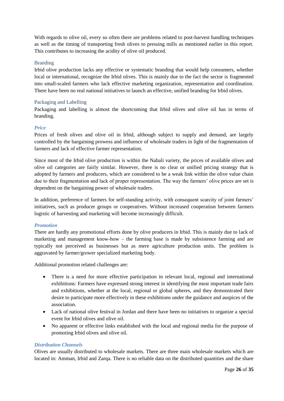With regards to olive oil, every so often there are problems related to post-harvest handling techniques as well as the timing of transporting fresh olives to pressing mills as mentioned earlier in this report. This contributes to increasing the acidity of olive oil produced.

#### Branding

Irbid olive production lacks any effective or systematic branding that would help consumers, whether local or international, recognize the Irbid olives. This is mainly due to the fact the sector is fragmented into small-scaled farmers who lack effective marketing organization, representation and coordination. There have been no real national initiatives to launch an effective, unified branding for Irbid olives.

#### Packaging and Labelling

Packaging and labelling is almost the shortcoming that Irbid olives and olive oil has in terms of branding.

#### *Price*

Prices of fresh olives and olive oil in Irbid, although subject to supply and demand, are largely controlled by the bargaining prowess and influence of wholesale traders in light of the fragmentation of farmers and lack of effective farmer representation.

Since most of the Irbid olive production is within the Nabali variety, the prices of available olives and olive oil categories are fairly similar. However, there is no clear or unified pricing strategy that is adopted by farmers and producers, which are considered to be a weak link within the olive value chain due to their fragmentation and lack of proper representation. The way the farmers' olive prices are set is dependent on the bargaining power of wholesale traders.

In addition, preference of farmers for self-standing activity, with consequent scarcity of joint farmers' initiatives, such as producer groups or cooperatives. Without increased cooperation between farmers logistic of harvesting and marketing will become increasingly difficult.

#### *Promotion*

There are hardly any promotional efforts done by olive producers in Irbid. This is mainly due to lack of marketing and management know-how – the farming base is made by subsistence farming and are typically not perceived as businesses but as mere agriculture production units. The problem is aggravated by farmer/grower specialized marketing body.

Additional promotion related challenges are:

- There is a need for more effective participation in relevant local, regional and international exhibitions: Farmers have expressed strong interest in identifying the most important trade fairs and exhibitions, whether at the local, regional or global spheres, and they demonstrated their desire to participate more effectively in these exhibitions under the guidance and auspices of the association.
- Lack of national olive festival in Jordan and there have been no initiatives to organize a special event for Irbid olives and olive oil.
- No apparent or effective links established with the local and regional media for the purpose of promoting Irbid olives and olive oil.

#### *Distribution Channels*

Olives are usually distributed to wholesale markets. There are three main wholesale markets which are located in: Amman, Irbid and Zarqa. There is no reliable data on the distributed quantities and the share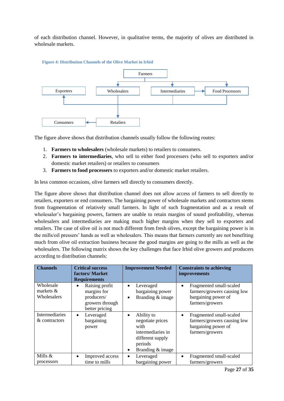of each distribution channel. However, in qualitative terms, the majority of olives are distributed in wholesale markets.



The figure above shows that distribution channels usually follow the following routes:

- 1. **Farmers to wholesalers** (wholesale markets) to retailers to consumers.
- 2. **Farmers to intermediaries**, who sell to either food processers (who sell to exporters and/or domestic market retailers) or retailers to consumers
- 3. **Farmers to food processers** to exporters and/or domestic market retailers.

In less common occasions, olive farmers sell directly to consumers directly.

The figure above shows that distribution channel does not allow access of farmers to sell directly to retailers, exporters or end consumers. The bargaining power of wholesale markets and contractors stems from fragmentation of relatively small farmers. In light of such fragmentation and as a result of wholesaler's bargaining powers, farmers are unable to retain margins of sound profitability, whereas wholesalers and intermediaries are making much higher margins when they sell to exporters and retailers. The case of olive oil is not much different from fresh olives, except the bargaining power is in the mills/oil pressers' hands as well as wholesalers. This means that farmers currently are not benefiting much from olive oil extraction business because the good margins are going to the mills as well as the wholesalers. The following matrix shows the key challenges that face Irbid olive growers and producers according to distribution channels:

| <b>Channels</b>                         | <b>Critical success</b><br>factors/Market<br><b>Requirements</b>                              | <b>Improvement Needed</b>                                                                                                        | <b>Constraints to achieving</b><br><i>improvements</i>                                                        |
|-----------------------------------------|-----------------------------------------------------------------------------------------------|----------------------------------------------------------------------------------------------------------------------------------|---------------------------------------------------------------------------------------------------------------|
| Wholesale<br>markets $&$<br>Wholesalers | Raising profit<br>$\bullet$<br>margins for<br>producers/<br>growers through<br>better pricing | Leveraged<br>$\bullet$<br>bargaining power<br>Branding & image<br>$\bullet$                                                      | Fragmented small-scaled<br>$\bullet$<br>farmers/growers causing low<br>bargaining power of<br>farmers/growers |
| <b>Intermediaries</b><br>& contractors  | Leveraged<br>$\bullet$<br>bargaining<br>power                                                 | Ability to<br>$\bullet$<br>negotiate prices<br>with<br>intermediaries in<br>different supply<br>periods<br>Branding & image<br>٠ | Fragmented small-scaled<br>$\bullet$<br>farmers/growers causing low<br>bargaining power of<br>farmers/growers |
| Mills &<br>processors                   | Improved access<br>$\bullet$<br>time to mills                                                 | Leveraged<br>$\bullet$<br>bargaining power                                                                                       | Fragmented small-scaled<br>$\bullet$<br>farmers/growers                                                       |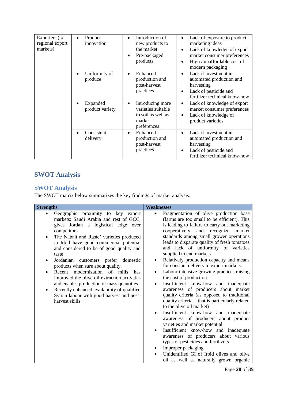| Exporters (to<br>regional export<br>markets) | Product<br>$\bullet$<br>innovation | Introduction of<br>$\bullet$<br>new products to<br>the market<br>Pre-packaged<br>$\bullet$<br>products | Lack of exposure to product<br>marketing ideas<br>Lack of knowledge of export<br>market consumer preferences<br>High / unaffordable cost of<br>$\bullet$<br>modern packaging |
|----------------------------------------------|------------------------------------|--------------------------------------------------------------------------------------------------------|------------------------------------------------------------------------------------------------------------------------------------------------------------------------------|
|                                              | Uniformity of<br>produce           | Enhanced<br>$\bullet$<br>production and<br>post-harvest<br>practices                                   | Lack if investment in<br>$\bullet$<br>automated production and<br>harvesting<br>Lack of pesticide and<br>$\bullet$<br>fertilizer technical know-how                          |
|                                              | Expanded<br>product variety        | Introducing more<br>$\bullet$<br>varieties suitable<br>to soil as well as<br>market<br>preferences     | Lack of knowledge of export<br>$\bullet$<br>market consumer preferences<br>Lack of knowledge of<br>product varieties                                                         |
|                                              | Consistent<br>delivery             | Enhanced<br>$\bullet$<br>production and<br>post-harvest<br>practices                                   | Lack if investment in<br>automated production and<br>harvesting<br>Lack of pesticide and<br>fertilizer technical know-how                                                    |

# <span id="page-27-0"></span>**SWOT Analysis**

# <span id="page-27-1"></span>**SWOT Analysis**

The SWOT matrix below summarizes the key findings of market analysis:

| <b>Strengths</b>                                                                                                                                                                                                                                                                                                                                                                                                                                                                                                                                                                                                                      | <b>Weaknesses</b>                                                                                                                                                                                                                                                                                                                                                                                                                                                                                                                                                                                                                                                                                                                                                                                                                                                                                                                                                                                                                                                                                                                                     |
|---------------------------------------------------------------------------------------------------------------------------------------------------------------------------------------------------------------------------------------------------------------------------------------------------------------------------------------------------------------------------------------------------------------------------------------------------------------------------------------------------------------------------------------------------------------------------------------------------------------------------------------|-------------------------------------------------------------------------------------------------------------------------------------------------------------------------------------------------------------------------------------------------------------------------------------------------------------------------------------------------------------------------------------------------------------------------------------------------------------------------------------------------------------------------------------------------------------------------------------------------------------------------------------------------------------------------------------------------------------------------------------------------------------------------------------------------------------------------------------------------------------------------------------------------------------------------------------------------------------------------------------------------------------------------------------------------------------------------------------------------------------------------------------------------------|
| Geographic proximity to key export<br>markets: Saudi Arabia and rest of GCC,<br>gives Jordan a logistical edge over<br>competitors<br>The Nabali and Rasie' varieties produced<br>$\bullet$<br>in Irbid have good commercial potential<br>and considered to be of good quality and<br>taste<br>Jordanian<br>customers prefer<br>domestic<br>products when sure about quality.<br>Recent modernization of mills<br>has<br>improved the olive oil extraction activities<br>and enables production of mass quantities<br>Recently enhanced availability of qualified<br>٠<br>Syrian labour with good harvest and post-<br>harvest skills | Fragmentation of olive production base<br>$\bullet$<br>(farms are too small to be efficient). This<br>is leading to failure to carry out marketing<br>cooperatively and recognize<br>market<br>standards among small grower operations<br>leads to disparate quality of fresh tomatoes<br>and lack of uniformity of varieties<br>supplied to end markets.<br>Relatively production capacity and means<br>for constant delivery to export markets.<br>Labour intensive growing practices raising<br>$\bullet$<br>the cost of production<br>Insufficient know-how and inadequate<br>$\bullet$<br>awareness of producers about market<br>quality criteria (as opposed to traditional<br>quality criteria – that is particularly related<br>to the olive oil market)<br>Insufficient know-how and inadequate<br>$\bullet$<br>awareness of producers about product<br>varieties and market potential<br>Insufficient know-how and inadequate<br>$\bullet$<br>awareness of producers about various<br>types of pesticides and fertilizers<br>Improper packaging<br>٠<br>Unidentified GI of Irbid olives and olive<br>oil as well as naturally grown organic |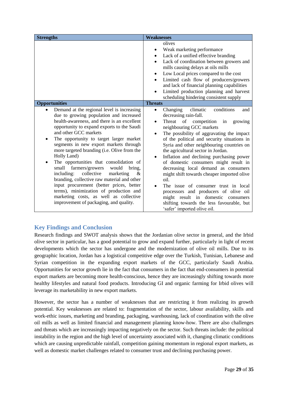| <b>Strengths</b>                                                                                                                                                                                                                                                                                                                                                                                                                                                                                                                                                                                                                                                                                                                | <b>Weaknesses</b>                                                                                                                                                                                                                                                                                                                                                                                                                                                                                                                                                                                                                                                                                                                                                          |  |
|---------------------------------------------------------------------------------------------------------------------------------------------------------------------------------------------------------------------------------------------------------------------------------------------------------------------------------------------------------------------------------------------------------------------------------------------------------------------------------------------------------------------------------------------------------------------------------------------------------------------------------------------------------------------------------------------------------------------------------|----------------------------------------------------------------------------------------------------------------------------------------------------------------------------------------------------------------------------------------------------------------------------------------------------------------------------------------------------------------------------------------------------------------------------------------------------------------------------------------------------------------------------------------------------------------------------------------------------------------------------------------------------------------------------------------------------------------------------------------------------------------------------|--|
|                                                                                                                                                                                                                                                                                                                                                                                                                                                                                                                                                                                                                                                                                                                                 | olives<br>Weak marketing performance<br>Lack of a unified effective branding<br>$\bullet$<br>Lack of coordination between growers and<br>$\bullet$<br>mills causing delays at oils mills<br>Low Local prices compared to the cost<br>٠<br>Limited cash flow of producers/growers<br>$\bullet$<br>and lack of financial planning capabilities<br>Limited production planning and harvest<br>scheduling hindering consistent supply                                                                                                                                                                                                                                                                                                                                          |  |
| <b>Opportunities</b>                                                                                                                                                                                                                                                                                                                                                                                                                                                                                                                                                                                                                                                                                                            | <b>Threats</b>                                                                                                                                                                                                                                                                                                                                                                                                                                                                                                                                                                                                                                                                                                                                                             |  |
| Demand at the regional level is increasing<br>due to growing population and increased<br>health-awareness, and there is an excellent<br>opportunity to expand exports to the Saudi<br>and other GCC markets<br>The opportunity to target larger market<br>segments in new export markets through<br>more targeted branding (i.e. Olive from the<br>Holly Land)<br>The opportunities that consolidation of<br>farmers/growers<br>small<br>would<br>bring,<br>collective<br>including:<br>marketing<br>&<br>branding, collective raw material and other<br>input procurement (better prices, better<br>terms), minimization of production and<br>marketing costs, as well as collective<br>improvement of packaging, and quality. | climatic<br>conditions<br>Changing<br>$\bullet$<br>and<br>decreasing rain-fall.<br>Threat<br>of<br>competition<br>in<br>growing<br>$\bullet$<br>neighbouring GCC markets<br>The possibility of aggravating the impact<br>$\bullet$<br>of the political and security situations in<br>Syria and other neighbouring countries on<br>the agricultural sector in Jordan.<br>Inflation and declining purchasing power<br>$\bullet$<br>of domestic consumers might result in<br>decreasing local demand as consumers<br>might shift towards cheaper imported olive<br>oil.<br>The issue of consumer trust in local<br>processors and producers of olive oil<br>might result in domestic<br>consumers<br>shifting towards the less favourable, but<br>'safer' imported olive oil. |  |

# <span id="page-28-0"></span>**Key Findings and Conclusion**

Research findings and SWOT analysis shows that the Jordanian olive sector in general, and the Irbid olive sector in particular, has a good potential to grow and expand further, particularly in light of recent developments which the sector has undergone and the modernization of olive oil mills. Due to its geographic location, Jordan has a logistical competitive edge over the Turkish, Tunisian, Lebanese and Syrian competition in the expanding export markets of the GCC, particularly Saudi Arabia. Opportunities for sector growth lie in the fact that consumers in the fact that end-consumers in potential export markets are becoming more health-conscious, hence they are increasingly shifting towards more healthy lifestyles and natural food products. Introducing GI and organic farming for Irbid olives will leverage its marketability in new export markets.

However, the sector has a number of weaknesses that are restricting it from realizing its growth potential. Key weaknesses are related to: fragmentation of the sector, labour availability, skills and work-ethic issues, marketing and branding, packaging, warehousing, lack of coordination with the olive oil mills as well as limited financial and management planning know-how. There are also challenges and threats which are increasingly impacting negatively on the sector. Such threats include: the political instability in the region and the high level of uncertainty associated with it, changing climatic conditions which are causing unpredictable rainfall, competition gaining momentum in regional export markets, as well as domestic market challenges related to consumer trust and declining purchasing power.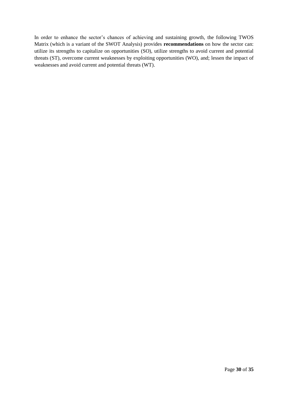In order to enhance the sector's chances of achieving and sustaining growth, the following TWOS Matrix (which is a variant of the SWOT Analysis) provides **recommendations** on how the sector can: utilize its strengths to capitalize on opportunities (SO), utilize strengths to avoid current and potential threats (ST), overcome current weaknesses by exploiting opportunities (WO), and; lessen the impact of weaknesses and avoid current and potential threats (WT).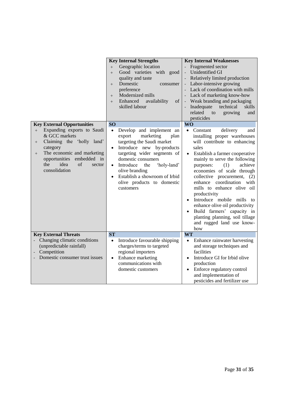|                                                                                                                                                                                                                               | <b>Key Internal Strengths</b>                                                                                                                                                                                                                                                                                                                                | <b>Key Internal Weaknesses</b>                                                                                                                                                                                                                                                                                                                                                                                                                                                                                                                        |
|-------------------------------------------------------------------------------------------------------------------------------------------------------------------------------------------------------------------------------|--------------------------------------------------------------------------------------------------------------------------------------------------------------------------------------------------------------------------------------------------------------------------------------------------------------------------------------------------------------|-------------------------------------------------------------------------------------------------------------------------------------------------------------------------------------------------------------------------------------------------------------------------------------------------------------------------------------------------------------------------------------------------------------------------------------------------------------------------------------------------------------------------------------------------------|
|                                                                                                                                                                                                                               | Geographic location<br>$+$<br>Good varieties with good<br>$+$<br>quality and taste<br>Domestic<br>consumer<br>$^{+}$<br>preference<br>Modernized mills<br>$+$<br>Enhanced<br>availability<br>of<br>$+$<br>skilled labour                                                                                                                                     | Fragmented sector<br><b>Unidentified GI</b><br>Relatively limited production<br>- Labor-intensive growing<br>- Lack of coordination with mills<br>- Lack of marketing know-how<br>- Weak branding and packaging<br>Inadequate<br>technical<br>skills<br>related<br>to<br>growing<br>and<br>pesticides                                                                                                                                                                                                                                                 |
| <b>Key External Opportunities</b>                                                                                                                                                                                             | <b>SO</b>                                                                                                                                                                                                                                                                                                                                                    | <b>WO</b>                                                                                                                                                                                                                                                                                                                                                                                                                                                                                                                                             |
| Expanding exports to Saudi<br>$+$<br>& GCC markets<br>Claiming the 'holly land'<br>$^{+}$<br>category<br>The economic and marketing<br>$^{+}$<br>embedded in<br>opportunities<br>idea<br>the<br>of<br>sector<br>consolidation | Develop and implement an<br>$\bullet$<br>marketing<br>export<br>plan<br>targeting the Saudi market<br>Introduce new by-products<br>$\bullet$<br>targeting wider segments of<br>domestic consumers<br>Introduce<br>'holy-land'<br>the<br>$\bullet$<br>olive branding<br>Establish a showroom of Irbid<br>$\bullet$<br>olive products to domestic<br>customers | delivery<br>Constant<br>$\bullet$<br>and<br>installing proper warehouses<br>will contribute to enhancing<br>sales<br>Establish a farmer cooperative<br>$\bullet$<br>mainly to serve the following<br>(1)<br>achieve<br>purposes:<br>economies of scale through<br>collective procurement,<br>(2)<br>enhance coordination<br>with<br>mills to enhance olive oil<br>productivity<br>Introduce mobile mills<br>to<br>enhance olive oil productivity<br>Build farmers' capacity in<br>planting planning, soil tillage<br>and rugged land use know-<br>how |
| <b>Key External Threats</b><br>Changing climatic conditions<br>(unpredictable rainfall)<br>Competition<br>Domestic consumer trust issues                                                                                      | <b>ST</b><br>Introduce favourable shipping<br>$\bullet$<br>charges/terms to targeted<br>regional importers<br>Enhance marketing<br>$\bullet$<br>communications with                                                                                                                                                                                          | <b>WT</b><br>Enhance rainwater harvesting<br>$\bullet$<br>and storage techniques and<br>facilities<br>Introduce GI for Irbid olive<br>production                                                                                                                                                                                                                                                                                                                                                                                                      |
|                                                                                                                                                                                                                               | domestic customers                                                                                                                                                                                                                                                                                                                                           | Enforce regulatory control<br>$\bullet$<br>and implementation of<br>pesticides and fertilizer use                                                                                                                                                                                                                                                                                                                                                                                                                                                     |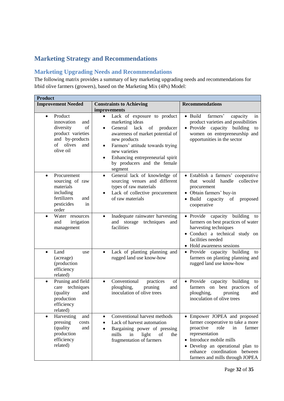# <span id="page-31-0"></span>**Marketing Strategy and Recommendations**

# <span id="page-31-1"></span>**Marketing Upgrading Needs and Recommendations**

The following matrix provides a summary of key marketing upgrading needs and recommendations for Irbid olive farmers (growers), based on the Marketing Mix (4Ps) Model:

| <b>Product</b>                                                                                                                           |                                                                                                                                                                                                                                                                                                           |                                                                                                                                                                                                                                                            |
|------------------------------------------------------------------------------------------------------------------------------------------|-----------------------------------------------------------------------------------------------------------------------------------------------------------------------------------------------------------------------------------------------------------------------------------------------------------|------------------------------------------------------------------------------------------------------------------------------------------------------------------------------------------------------------------------------------------------------------|
| <b>Improvement Needed</b>                                                                                                                | <b>Constraints to Achieving</b>                                                                                                                                                                                                                                                                           | <b>Recommendations</b>                                                                                                                                                                                                                                     |
|                                                                                                                                          | improvements                                                                                                                                                                                                                                                                                              |                                                                                                                                                                                                                                                            |
| Product<br>$\bullet$<br>innovation<br>and<br>diversity<br>of<br>product varieties<br>and by-products<br>of<br>olives<br>and<br>olive oil | Lack of exposure to product<br>marketing ideas<br>General<br>lack<br>producer<br>of<br>$\bullet$<br>awareness of market potential of<br>new products<br>Farmers' attitude towards trying<br>$\bullet$<br>new varieties<br>Enhancing entrepreneurial spirit<br>٠<br>by producers and the female<br>segment | • Build<br>farmers'<br>capacity<br>in<br>product varieties and possibilities<br>• Provide capacity<br>building<br>to<br>women on entrepreneurship and<br>opportunities in the sector                                                                       |
| Procurement<br>$\bullet$<br>sourcing of raw<br>materials<br>including<br>fertilizers<br>and<br>pesticides<br>in<br>order                 | General lack of knowledge of<br>$\bullet$<br>sourcing venues and different<br>types of raw materials<br>Lack of collective procurement<br>of raw materials                                                                                                                                                | · Establish a farmers' cooperative<br>handle collective<br>that would<br>procurement<br>Obtain farmers' buy-in<br><b>Build</b><br>capacity<br>of<br>proposed<br>cooperative                                                                                |
| Water resources<br>$\bullet$<br>irrigation<br>and<br>management                                                                          | Inadequate rainwater harvesting<br>$\bullet$<br>and storage<br>techniques<br>and<br>facilities                                                                                                                                                                                                            | • Provide<br>capacity<br>building<br>to<br>farmers on best practices of water<br>harvesting techniques<br>· Conduct a technical study on<br>facilities needed<br>• Hold awareness sessions                                                                 |
| Land<br>$\bullet$<br>use<br>(acreage)<br>(production<br>efficiency<br>related)                                                           | Lack of planting planning and<br>$\bullet$<br>rugged land use know-how                                                                                                                                                                                                                                    | • Provide capacity building<br>to<br>farmers on planting planning and<br>rugged land use know-how                                                                                                                                                          |
| Pruning and field<br>$\bullet$<br>care techniques<br>and<br>(quality<br>production<br>efficiency<br>related)                             | Conventional<br>of<br>practices<br>$\bullet$<br>ploughing,<br>pruning<br>and<br>inoculation of olive trees                                                                                                                                                                                                | • Provide<br>capacity<br>building<br>to<br>on best practices<br>farmers<br>of<br>ploughing,<br>pruning<br>and<br>inoculation of olive trees                                                                                                                |
| Harvesting<br>and<br>pressing<br>costs<br>(quality<br>and<br>production<br>efficiency<br>related)                                        | Conventional harvest methods<br>Lack of harvest automation<br>$\bullet$<br>Bargaining power of pressing<br>$\bullet$<br>mills<br>light<br>in<br>of<br>the<br>fragmentation of farmers                                                                                                                     | Empower JOPEA and proposed<br>farmer cooperative to take a more<br>proactive<br>role<br>farmer<br>in<br>representation<br>Introduce mobile mills<br>• Develop an operational plan to<br>enhance coordination<br>between<br>farmers and mills through JOPEA |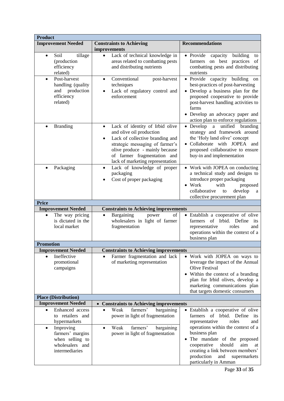| <b>Product</b>                                                                                                 |                                                                                                                                                                                                                                                                  |                                                                                                                                                                                                                                                                         |
|----------------------------------------------------------------------------------------------------------------|------------------------------------------------------------------------------------------------------------------------------------------------------------------------------------------------------------------------------------------------------------------|-------------------------------------------------------------------------------------------------------------------------------------------------------------------------------------------------------------------------------------------------------------------------|
| <b>Improvement Needed</b>                                                                                      | <b>Constraints to Achieving</b><br>improvements                                                                                                                                                                                                                  | <b>Recommendations</b>                                                                                                                                                                                                                                                  |
| tillage<br>Soil<br>$\bullet$<br>(production<br>efficiency<br>related)                                          | Lack of technical knowledge in<br>$\bullet$<br>areas related to combatting pests<br>and distributing nutrients                                                                                                                                                   | • Provide<br>capacity<br>building<br>to<br>on best practices of<br>farmers<br>combatting pests and distributing<br>nutrients                                                                                                                                            |
| Post-harvest<br>$\bullet$<br>handling (quality<br>and production<br>efficiency<br>related)                     | Conventional<br>post-harvest<br>$\bullet$<br>techniques<br>Lack of regulatory control and<br>enforcement                                                                                                                                                         | • Provide capacity building<br>on<br>best-practices of post-harvesting<br>• Develop a business plan for the<br>proposed cooperative to provide<br>post-harvest handling activities to<br>farms<br>• Develop an advocacy paper and<br>action plan to enforce regulations |
| <b>Branding</b>                                                                                                | Lack of identity of Irbid olive<br>$\bullet$<br>and olive oil production<br>Lack of collective branding and<br>$\bullet$<br>strategic messaging of farmer's<br>olive produce - mainly because<br>of farmer fragmentation and<br>lack of marketing representation | Develop<br>unified<br>branding<br>$\rm{a}$<br>strategy and framework around<br>the 'Holy land olive' concept<br>• Collaborate with JOPEA and<br>proposed collaborative to ensure<br>buy-in and implementation                                                           |
| Packaging<br>$\bullet$                                                                                         | Lack of knowledge of proper<br>$\bullet$<br>packaging<br>Cost of proper packaging                                                                                                                                                                                | • Work with JOPEA on conducting<br>a technical study and designs to<br>introduce proper packaging<br>$\bullet$ Work<br>with<br>proposed<br>collaborative<br>develop<br>to<br>a<br>collective procurement plan                                                           |
| <b>Price</b>                                                                                                   |                                                                                                                                                                                                                                                                  |                                                                                                                                                                                                                                                                         |
| <b>Improvement Needed</b>                                                                                      | <b>Constraints to Achieving improvements</b>                                                                                                                                                                                                                     |                                                                                                                                                                                                                                                                         |
| The way pricing<br>$\bullet$<br>is dictated in the<br>local market                                             | Bargaining<br>of<br>power<br>$\bullet$<br>wholesalers in light of farmer<br>fragmentation                                                                                                                                                                        | • Establish a cooperative of olive<br>of Irbid. Define<br>farmers<br>its<br>representative<br>roles<br>and<br>operations within the context of a<br>business plan                                                                                                       |
| <b>Promotion</b>                                                                                               |                                                                                                                                                                                                                                                                  |                                                                                                                                                                                                                                                                         |
| <b>Improvement Needed</b>                                                                                      | <b>Constraints to Achieving improvements</b>                                                                                                                                                                                                                     |                                                                                                                                                                                                                                                                         |
| Ineffective<br>promotional<br>campaigns                                                                        | Farmer fragmentation and lack<br>of marketing representation                                                                                                                                                                                                     | • Work with JOPEA on ways to<br>leverage the impact of the Annual<br>Olive Festival<br>• Within the context of a branding<br>plan for Irbid olives, develop a<br>marketing communications plan<br>that targets domestic consumers                                       |
| <b>Place (Distribution)</b>                                                                                    |                                                                                                                                                                                                                                                                  |                                                                                                                                                                                                                                                                         |
| <b>Improvement Needed</b>                                                                                      | <b>Constraints to Achieving improvements</b>                                                                                                                                                                                                                     |                                                                                                                                                                                                                                                                         |
| Enhanced access<br>$\bullet$<br>to retailers and<br>hypermarkets<br>Improving<br>$\bullet$<br>farmers' margins | farmers'<br>bargaining<br>Weak<br>$\bullet$<br>power in light of fragmentation<br>farmers'<br>bargaining<br>Weak<br>$\bullet$                                                                                                                                    | • Establish a cooperative of olive<br>farmers of Irbid. Define its<br>representative<br>roles<br>and<br>operations within the context of a                                                                                                                              |
| when selling to<br>wholesalers and<br>intermediaries                                                           | power in light of fragmentation                                                                                                                                                                                                                                  | business plan<br>The mandate of the proposed<br>should<br>aim<br>cooperative<br>at<br>creating a link between members'<br>production<br>and<br>supermarkets                                                                                                             |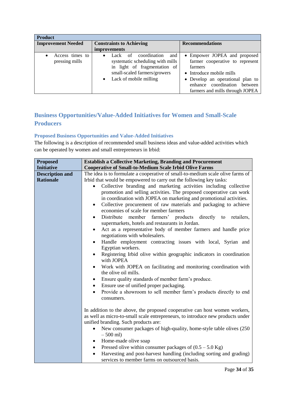| <b>Product</b>                    |                                                                                                                                                              |                                                                                                                                                                                                                     |
|-----------------------------------|--------------------------------------------------------------------------------------------------------------------------------------------------------------|---------------------------------------------------------------------------------------------------------------------------------------------------------------------------------------------------------------------|
| <b>Improvement Needed</b>         | <b>Constraints to Achieving</b>                                                                                                                              | <b>Recommendations</b>                                                                                                                                                                                              |
|                                   | <i>improvements</i>                                                                                                                                          |                                                                                                                                                                                                                     |
| Access times to<br>pressing mills | coordination<br>Lack of<br>and<br>systematic scheduling with mills<br>in light of fragmentation of<br>small-scaled farmers/growers<br>Lack of mobile milling | • Empower JOPEA and proposed<br>farmer cooperative to represent<br>farmers<br>• Introduce mobile mills<br>• Develop an operational plan to<br>coordination<br>between<br>enhance<br>farmers and mills through JOPEA |

# <span id="page-33-0"></span>**Business Opportunities/Value-Added Initiatives for Women and Small-Scale Producers**

### <span id="page-33-1"></span>**Proposed Business Opportunities and Value-Added Initiatives**

The following is a description of recommended small business ideas and value-added activities which can be operated by women and small entrepreneurs in Irbid:

| <b>Proposed</b>        | <b>Establish a Collective Marketing, Branding and Procurement</b>                 |
|------------------------|-----------------------------------------------------------------------------------|
| <b>Initiative</b>      | <b>Cooperative of Small-to-Medium Scale Irbid Olive Farms</b>                     |
| <b>Description and</b> | The idea is to formulate a cooperative of small-to-medium scale olive farms of    |
| <b>Rationale</b>       | Irbid that would be empowered to carry out the following key tasks:               |
|                        | Collective branding and marketing activities including collective                 |
|                        | promotion and selling activities. The proposed cooperative can work               |
|                        | in coordination with JOPEA on marketing and promotional activities.               |
|                        | Collective procurement of raw materials and packaging to achieve<br>$\bullet$     |
|                        | economies of scale for member farmers                                             |
|                        | Distribute<br>member farmers' products directly to retailers,<br>$\bullet$        |
|                        | supermarkets, hotels and restaurants in Jordan.                                   |
|                        | Act as a representative body of member farmers and handle price<br>٠              |
|                        | negotiations with wholesalers.                                                    |
|                        | Handle employment contracting issues with local, Syrian and<br>$\bullet$          |
|                        | Egyptian workers.                                                                 |
|                        | Registering Irbid olive within geographic indicators in coordination<br>$\bullet$ |
|                        | with JOPEA                                                                        |
|                        | Work with JOPEA on facilitating and monitoring coordination with<br>$\bullet$     |
|                        | the olive oil mills.                                                              |
|                        | Ensure quality standards of member farm's produce.<br>٠                           |
|                        | Ensure use of unified proper packaging.<br>$\bullet$                              |
|                        | Provide a showroom to sell member farm's products directly to end<br>$\bullet$    |
|                        | consumers.                                                                        |
|                        |                                                                                   |
|                        | In addition to the above, the proposed cooperative can host women workers,        |
|                        | as well as micro-to-small scale entrepreneurs, to introduce new products under    |
|                        | unified branding. Such products are:                                              |
|                        | New consumer packages of high-quality, home-style table olives (250)<br>$\bullet$ |
|                        | $-500$ ml)                                                                        |
|                        | Home-made olive soap<br>$\bullet$                                                 |
|                        | Pressed olive within consumer packages of $(0.5 - 5.0 \text{ Kg})$<br>٠           |
|                        | Harvesting and post-harvest handling (including sorting and grading)<br>$\bullet$ |
|                        | services to member farms on outsourced basis.                                     |